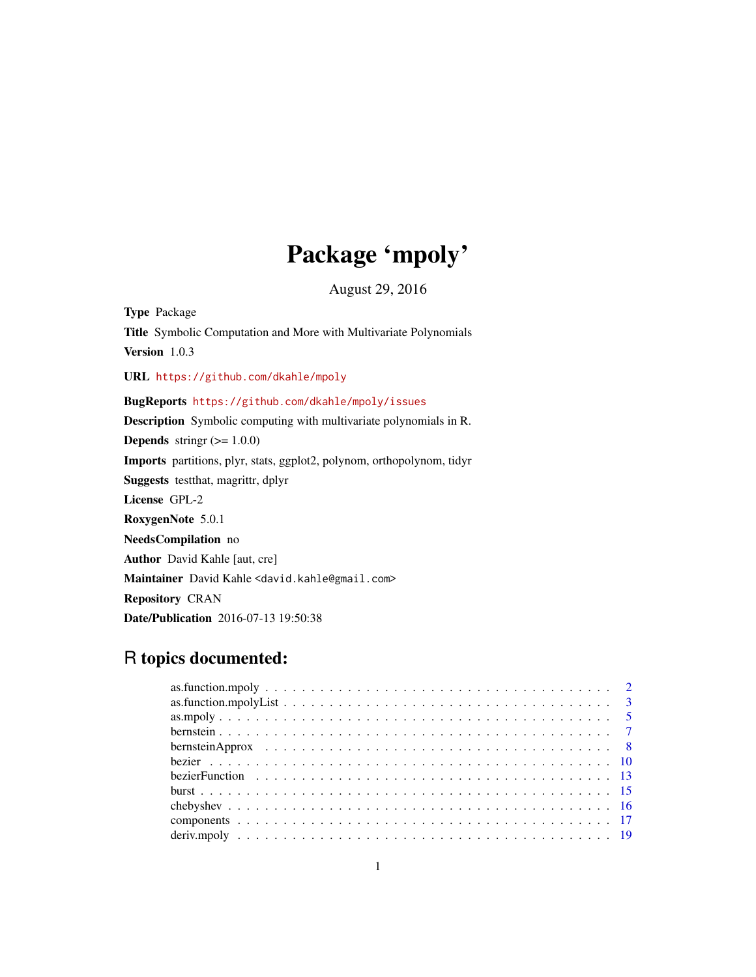# Package 'mpoly'

August 29, 2016

<span id="page-0-0"></span>Type Package Title Symbolic Computation and More with Multivariate Polynomials Version 1.0.3 URL <https://github.com/dkahle/mpoly> BugReports <https://github.com/dkahle/mpoly/issues> Description Symbolic computing with multivariate polynomials in R. **Depends** stringr  $(>= 1.0.0)$ Imports partitions, plyr, stats, ggplot2, polynom, orthopolynom, tidyr Suggests testthat, magrittr, dplyr License GPL-2 RoxygenNote 5.0.1 NeedsCompilation no Author David Kahle [aut, cre] Maintainer David Kahle <david.kahle@gmail.com> Repository CRAN Date/Publication 2016-07-13 19:50:38

# R topics documented: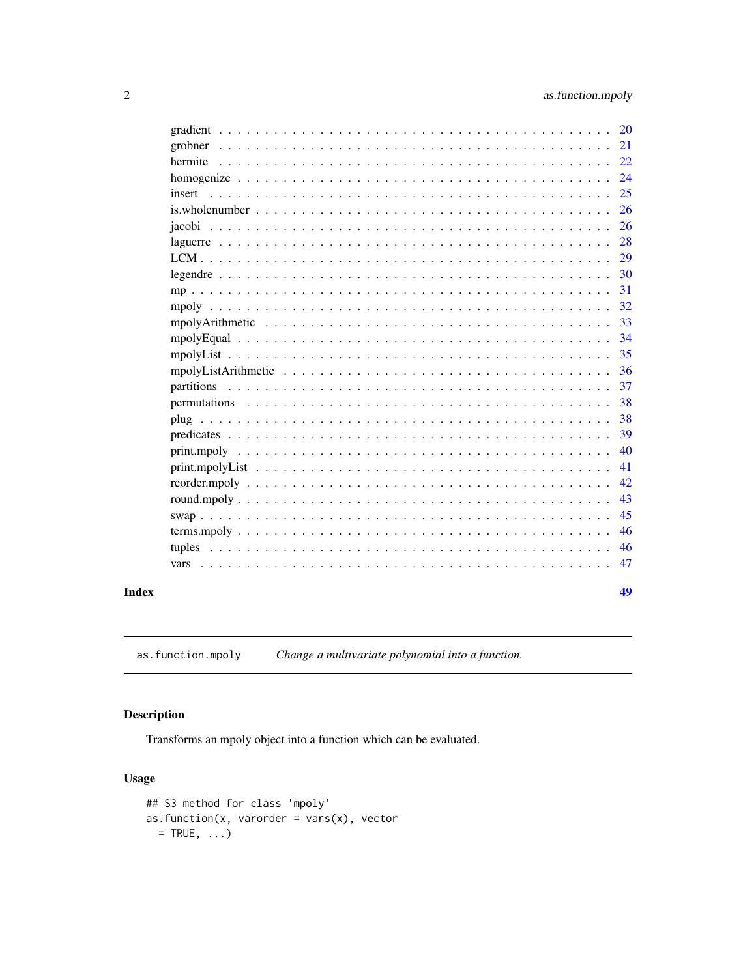49

<span id="page-1-0"></span>

| 20                                                                                                                                                                  |  |
|---------------------------------------------------------------------------------------------------------------------------------------------------------------------|--|
| 21                                                                                                                                                                  |  |
| 22                                                                                                                                                                  |  |
| 24                                                                                                                                                                  |  |
| 25<br>insert                                                                                                                                                        |  |
| 26<br>is. whole number $\ldots$ , $\ldots$ , $\ldots$ , $\ldots$ , $\ldots$ , $\ldots$ , $\ldots$ , $\ldots$ , $\ldots$ , $\ldots$ , $\ldots$ , $\ldots$ , $\ldots$ |  |
| 26                                                                                                                                                                  |  |
| 28                                                                                                                                                                  |  |
| 29                                                                                                                                                                  |  |
| 30                                                                                                                                                                  |  |
| 31                                                                                                                                                                  |  |
| 32                                                                                                                                                                  |  |
| 33                                                                                                                                                                  |  |
| 34                                                                                                                                                                  |  |
| 35                                                                                                                                                                  |  |
| 36                                                                                                                                                                  |  |
| 37                                                                                                                                                                  |  |
| 38                                                                                                                                                                  |  |
| 38                                                                                                                                                                  |  |
| 39                                                                                                                                                                  |  |
| 40                                                                                                                                                                  |  |
| 41                                                                                                                                                                  |  |
| 42                                                                                                                                                                  |  |
| 43                                                                                                                                                                  |  |
| 45                                                                                                                                                                  |  |
| 46                                                                                                                                                                  |  |
| 46<br>tuples                                                                                                                                                        |  |
| 47<br>vars                                                                                                                                                          |  |
|                                                                                                                                                                     |  |

# **Index**

as.function.mpoly Change a multivariate polynomial into a function.

# Description

Transforms an mpoly object into a function which can be evaluated.

```
## S3 method for class 'mpoly'
as. function(x, varorder = vars(x), vector= TRUE, \ldots)
```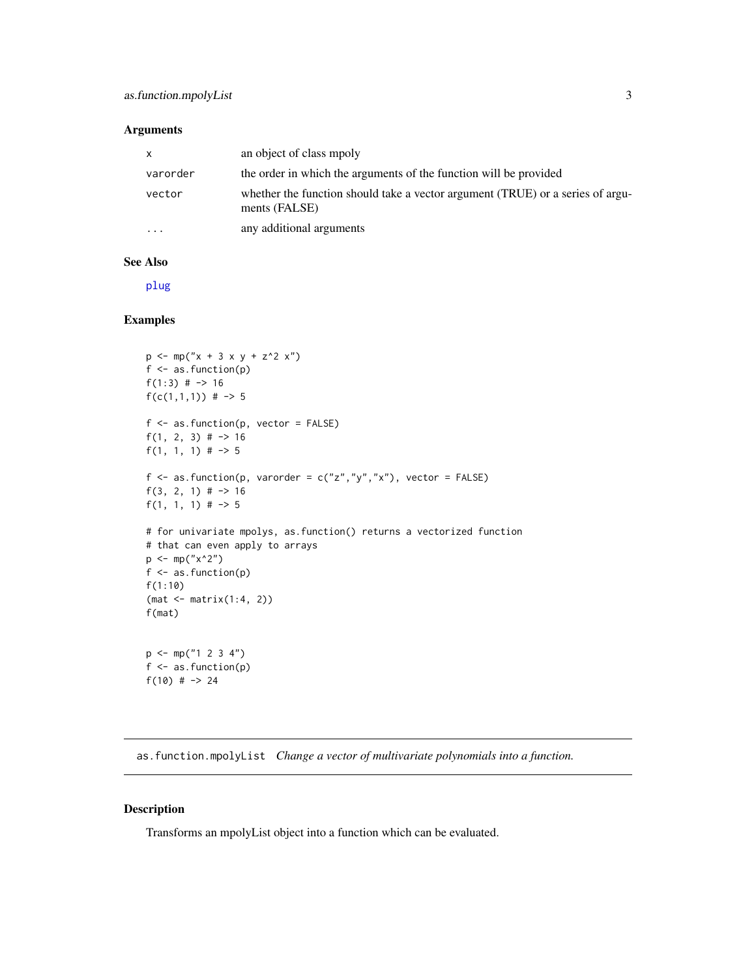## <span id="page-2-0"></span>Arguments

| $\mathsf{X}$ | an object of class mpoly                                                                        |
|--------------|-------------------------------------------------------------------------------------------------|
| varorder     | the order in which the arguments of the function will be provided                               |
| vector       | whether the function should take a vector argument (TRUE) or a series of argu-<br>ments (FALSE) |
| $\cdots$     | any additional arguments                                                                        |

#### See Also

[plug](#page-37-1)

# Examples

```
p \leftarrow mp("x + 3 x y + z^2 x")f \leftarrow as.function(p)f(1:3) # \rightarrow 16
f(c(1,1,1)) # -> 5
f \leftarrow as.function(p, vector = FALSE)f(1, 2, 3) # \rightarrow 16
f(1, 1, 1) # \rightarrow 5
f \leq as. function(p, varorder = c("z","y","x"), vector = FALSE)
f(3, 2, 1) \# -> 16
f(1, 1, 1) \# -> 5
# for univariate mpolys, as.function() returns a vectorized function
# that can even apply to arrays
p \le -mp("x^2")f \leftarrow as.function(p)f(1:10)
(mat <- matrix(1:4, 2))
f(mat)
p \le m(p'1 \ 2 \ 3 \ 4")f \leftarrow as.function(p)f(10) \# -> 24
```
as.function.mpolyList *Change a vector of multivariate polynomials into a function.*

## Description

Transforms an mpolyList object into a function which can be evaluated.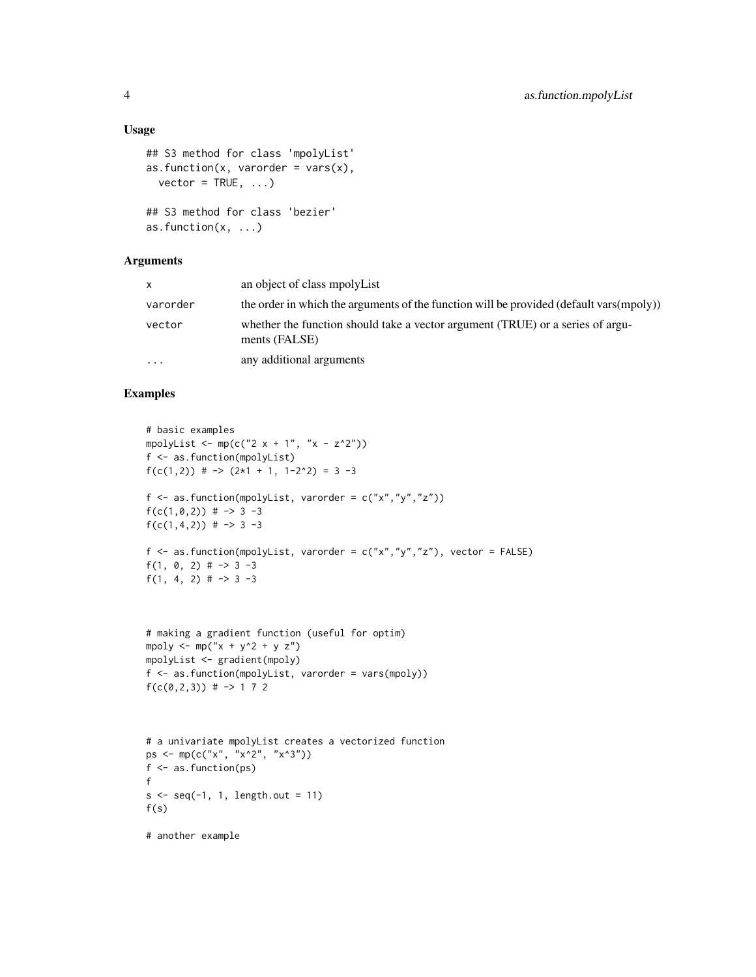# Usage

```
## S3 method for class 'mpolyList'
as.function(x, varorder = vars(x),
 vector = TRUE, ...## S3 method for class 'bezier'
as.function(x, ...)
```
# Arguments

| x.        | an object of class mpolyList                                                                    |
|-----------|-------------------------------------------------------------------------------------------------|
| varorder  | the order in which the arguments of the function will be provided (default vars(mpoly))         |
| vector    | whether the function should take a vector argument (TRUE) or a series of argu-<br>ments (FALSE) |
| $\ddotsc$ | any additional arguments                                                                        |
|           |                                                                                                 |

```
# basic examples
mpolyList <- mp(c("2 x + 1", "x - z^2"))f <- as.function(mpolyList)
f(c(1,2)) # \rightarrow (2*1 + 1, 1-2^2) = 3 -3
f \leq as. function(mpolyList, varorder = c("x","y","z"))
f(c(1,0,2)) # -> 3 -3
f(c(1,4,2)) # -> 3 -3
f <- as.function(mpolyList, varorder = c("x", "y", "z"), vector = FALSE)
f(1, 0, 2) # -> 3 -3
f(1, 4, 2) # \rightarrow 3 -3
# making a gradient function (useful for optim)
mpoly \leftarrow mp("x + y^2 + y z")
mpolyList <- gradient(mpoly)
f <- as.function(mpolyList, varorder = vars(mpoly))
f(c(0, 2, 3)) # -> 1 7 2
# a univariate mpolyList creates a vectorized function
```

```
ps \leq -mp(c("x", "x^2", "x^3"))f <- as.function(ps)
f
s \leq -seq(-1, 1, length.out = 11)f(s)
```

```
# another example
```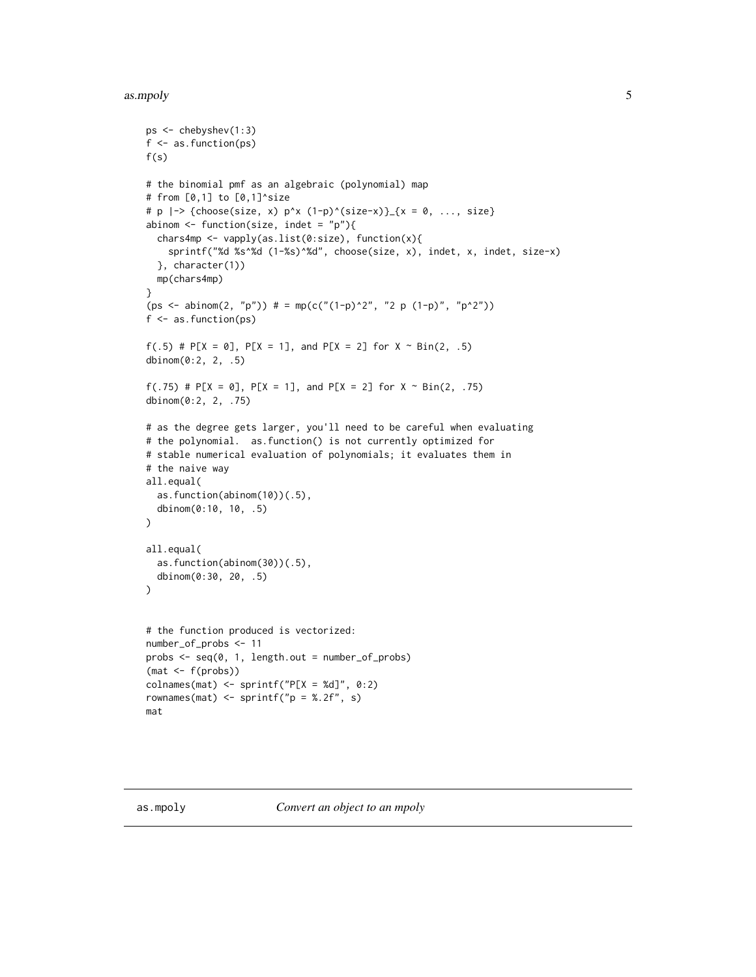#### <span id="page-4-0"></span>as.mpoly 5

```
ps <- chebyshev(1:3)
f <- as.function(ps)
f(s)# the binomial pmf as an algebraic (polynomial) map
# from [0,1] to [0,1]^size
# p |-> {choose(size, x) p^x (1-p)^(size-x)}_{x = 0, ..., size}
abinom \leq function(size, indet = "p"){
  chars4mp <- vapply(as.list(0:size), function(x){
    sprintf("%d %s^%d (1-%s)^%d", choose(size, x), indet, x, indet, size-x)
  }, character(1))
  mp(chars4mp)
}
(ps <- abinom(2, "p")) # = mp(c("(1-p)^2", "2 p (1-p)", "p^2"))
f <- as.function(ps)
f(.5) # P[X = 0], P[X = 1], and P[X = 2] for X \sim Bin(2, .5)dbinom(0:2, 2, .5)
f(.75) # P[X = 0], P[X = 1], and P[X = 2] for X \sim Bin(2, .75)dbinom(0:2, 2, .75)
# as the degree gets larger, you'll need to be careful when evaluating
# the polynomial. as.function() is not currently optimized for
# stable numerical evaluation of polynomials; it evaluates them in
# the naive way
all.equal(
  as.function(abinom(10))(.5),
  dbinom(0:10, 10, .5)
\mathcal{L}all.equal(
  as.function(abinom(30))(.5),
  dbinom(0:30, 20, .5)
\mathcal{L}# the function produced is vectorized:
number_of_probs <- 11
probs <- seq(0, 1, length.out = number_of_probs)
(mat < -f(probs))colnames(mat) <- sprintf("P[X = %d]", 0:2)
rownames(mat) <- sprintf("p = 2.2f'', s)
mat
```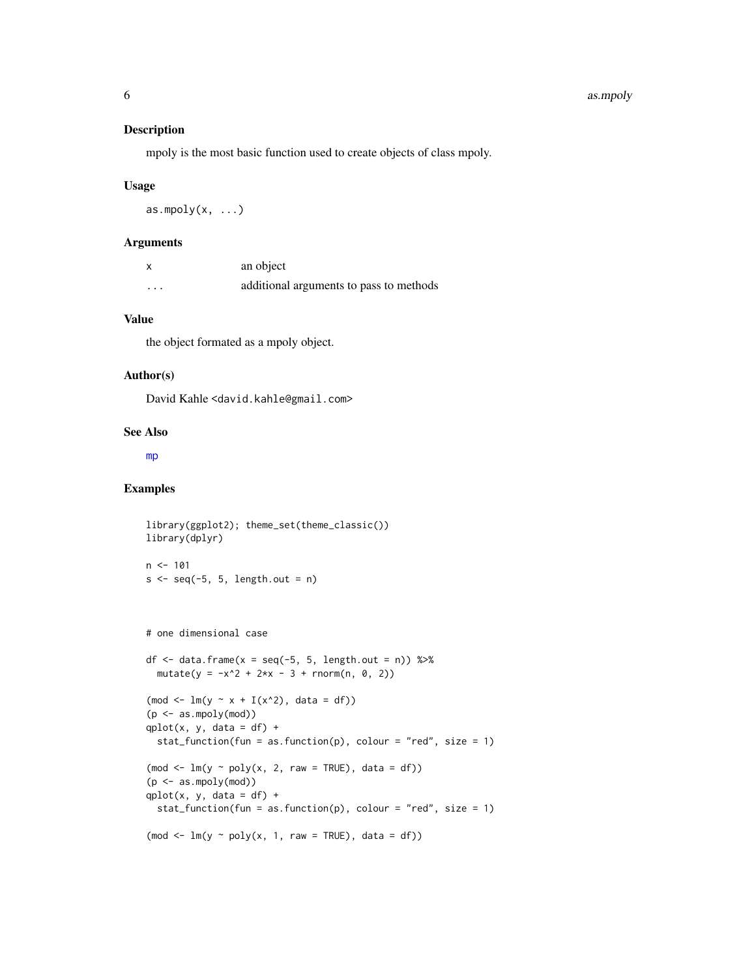# <span id="page-5-0"></span>Description

mpoly is the most basic function used to create objects of class mpoly.

#### Usage

as.mpoly $(x, \ldots)$ 

# Arguments

|                   | an object                               |
|-------------------|-----------------------------------------|
| $\cdot\cdot\cdot$ | additional arguments to pass to methods |

# Value

the object formated as a mpoly object.

# Author(s)

David Kahle <david.kahle@gmail.com>

## See Also

[mp](#page-30-1)

```
library(ggplot2); theme_set(theme_classic())
library(dplyr)
n < -101s \leq -seq(-5, 5, length.out = n)# one dimensional case
df \le data.frame(x = seq(-5, 5, length.out = n)) %>%
  mutate(y = -x^2 + 2*x - 3 + rnorm(n, 0, 2))(mod <- ln(y ~ x + I(x^2), data = df))(p <- as.mpoly(mod))
qplot(x, y, data = df) +stat_function(fun = as.function(p), colour = "red", size = 1)
(mod <i>-</i> lm(y <i>poly(x, 2, raw = TRUE)</i>, data = df))(p \leq -as.mpoly(mod))qplot(x, y, data = df) +stat_function(fun = as.function(p), colour = "red", size = 1)
(mod <i>-</i> lm(y <i>poly(x, 1, raw = TRUE)</i>, data = df))
```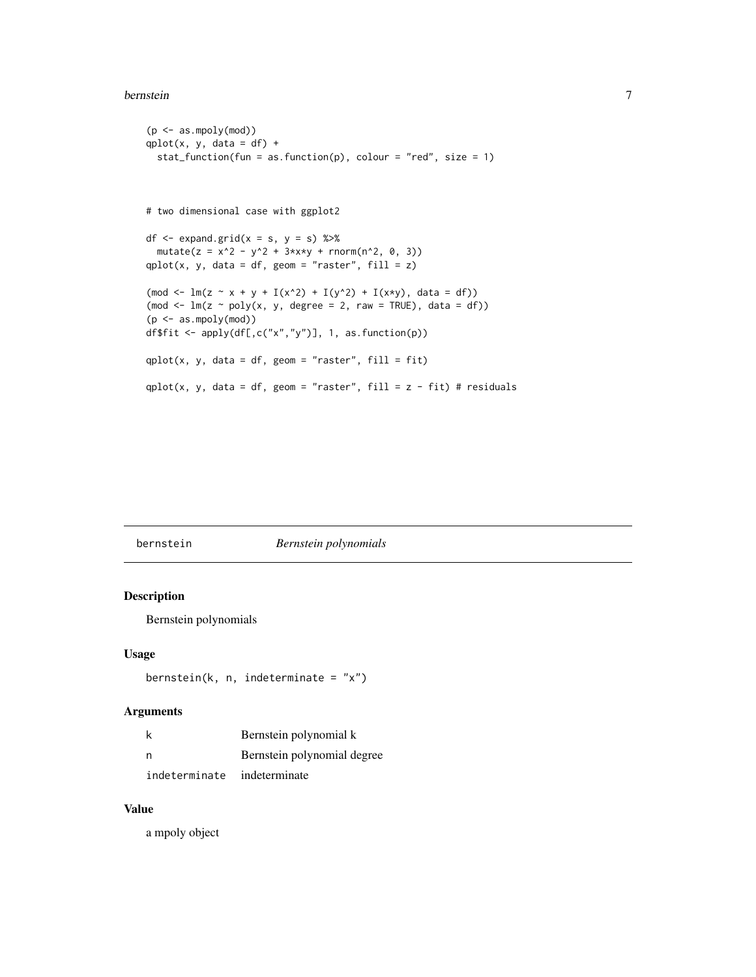#### <span id="page-6-0"></span>bernstein 7

```
(p \leq -as.mpoly(mod))qplot(x, y, data = df) +stat_function(fun = as.function(p), colour = "red", size = 1)
# two dimensional case with ggplot2
df \leq expand.grid(x = s, y = s) %>%
  mutate(z = x^2 - y^2 + 3*x*y + rnorm(n^2, 0, 3))qplot(x, y, data = df, geom = "raster", fill = z)
(mod <- ln(z ~ x + y + I(x^2) + I(y^2) + I(x*y), data = df))(mod \leq -\ln(z \sim poly(x, y, \text{degree} = 2, \text{raw} = \text{TRUE}), data = df))
(p <- as.mpoly(mod))
df$fit <- apply(df[,c("x","y")], 1, as.function(p))
qplot(x, y, data = df, geom = "raster", fill = fit)qplot(x, y, data = df, geom = "raster", fill = z - fit) # residuals
```
bernstein *Bernstein polynomials*

# Description

Bernstein polynomials

#### Usage

```
bernstein(k, n, indeterminate = "x")
```
# Arguments

|               | Bernstein polynomial k      |
|---------------|-----------------------------|
| n             | Bernstein polynomial degree |
| indeterminate | indeterminate               |

# Value

a mpoly object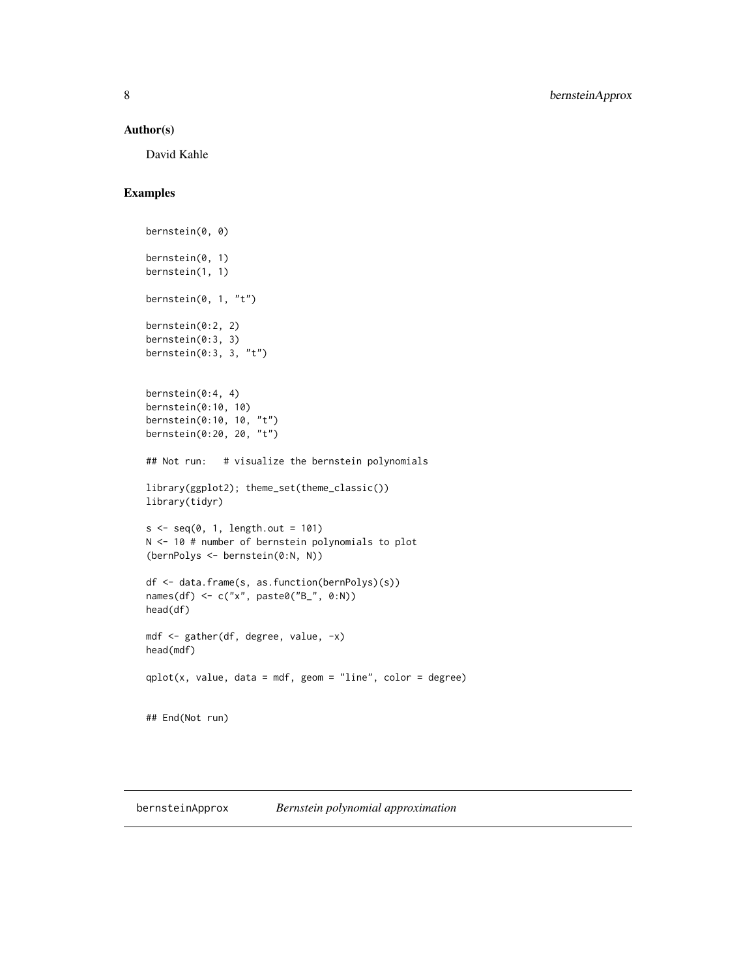## <span id="page-7-0"></span>Author(s)

David Kahle

# Examples

```
bernstein(0, 0)
bernstein(0, 1)
bernstein(1, 1)
bernstein(0, 1, "t")
bernstein(0:2, 2)
bernstein(0:3, 3)
bernstein(0:3, 3, "t")
bernstein(0:4, 4)
bernstein(0:10, 10)
bernstein(0:10, 10, "t")
bernstein(0:20, 20, "t")
## Not run: # visualize the bernstein polynomials
library(ggplot2); theme_set(theme_classic())
library(tidyr)
s < -seq(0, 1, length.out = 101)N <- 10 # number of bernstein polynomials to plot
(bernPolys <- bernstein(0:N, N))
df <- data.frame(s, as.function(bernPolys)(s))
names(df) <- c("x", paste0("B_", 0:N))
head(df)
mdf <- gather(df, degree, value, -x)
head(mdf)
qplot(x, value, data = mdf, geom = "line", color = degree)## End(Not run)
```
bernsteinApprox *Bernstein polynomial approximation*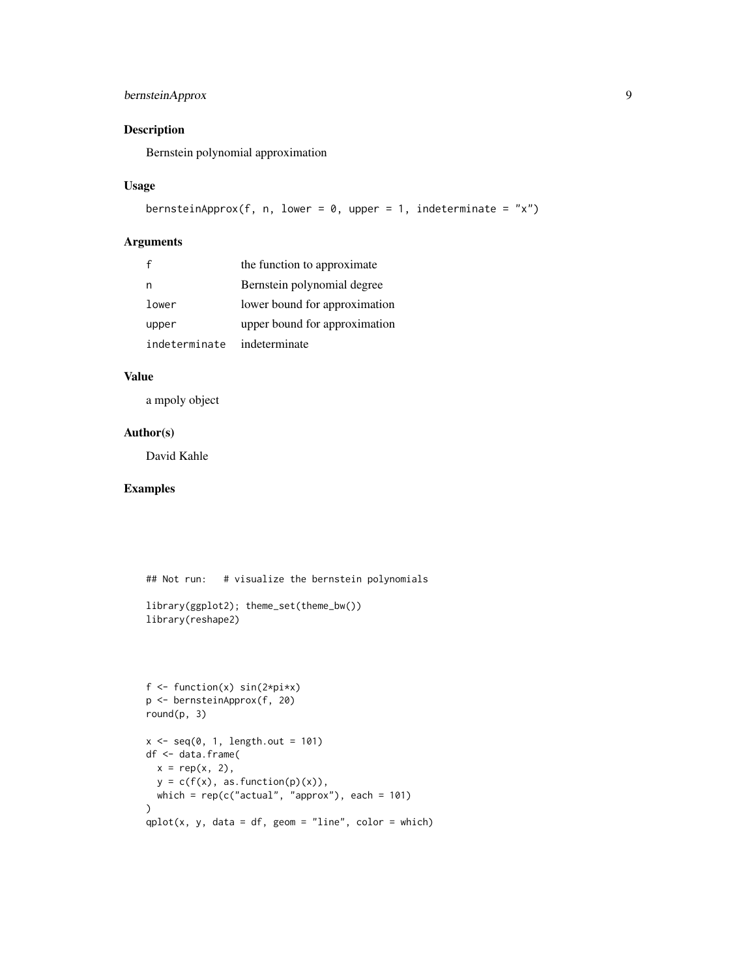# bernsteinApprox 9

# Description

Bernstein polynomial approximation

## Usage

```
bernsteinApprox(f, n, lower = 0, upper = 1, indeterminate = "x")
```
# Arguments

|               | the function to approximate   |
|---------------|-------------------------------|
|               | Bernstein polynomial degree   |
| lower         | lower bound for approximation |
| upper         | upper bound for approximation |
| indeterminate | indeterminate                 |

# Value

a mpoly object

#### Author(s)

David Kahle

```
## Not run: # visualize the bernstein polynomials
library(ggplot2); theme_set(theme_bw())
library(reshape2)
f \leftarrow function(x) sin(2 \times pi \times x)p <- bernsteinApprox(f, 20)
round(p, 3)
x \leq -\text{seq}(0, 1, \text{length.out} = 101)df <- data.frame(
  x = rep(x, 2),y = c(f(x), as. function(p)(x)),which = rep(c("actual", "approx"), each = 101)
\mathcal{L}qplot(x, y, data = df, geom = "line", color = which)
```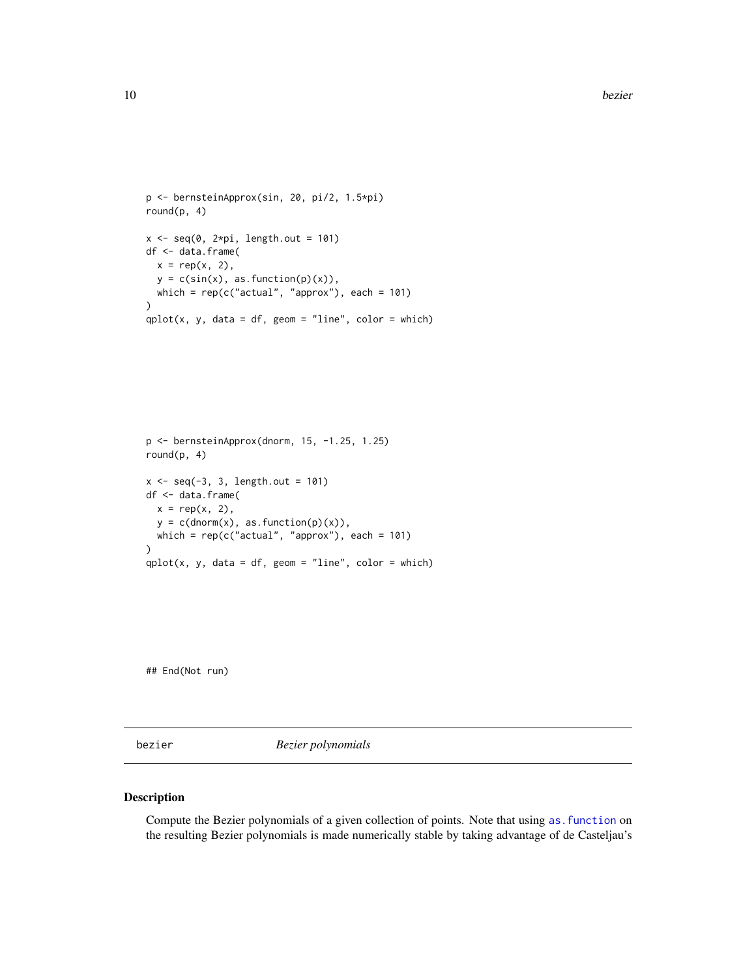```
p <- bernsteinApprox(sin, 20, pi/2, 1.5*pi)
round(p, 4)
x \leq -\text{seq}(0, 2*pi, length.out = 101)df <- data.frame(
  x = rep(x, 2),y = c(sin(x), as.function(p)(x)),which = rep(c("actual", "approx"), each = 101)\mathcal{L}qplot(x, y, data = df, geom = "line", color = which)
```

```
p <- bernsteinApprox(dnorm, 15, -1.25, 1.25)
round(p, 4)
x \le - seq(-3, 3, length.out = 101)
df <- data.frame(
  x = rep(x, 2),y = c(dnorm(x), as. function(p)(x)),which = rep(c("actual", "approx"), each = 101))
qplot(x, y, data = df, geom = "line", color = which)
```
## End(Not run)

<span id="page-9-1"></span>bezier *Bezier polynomials*

## Description

Compute the Bezier polynomials of a given collection of points. Note that using as. function on the resulting Bezier polynomials is made numerically stable by taking advantage of de Casteljau's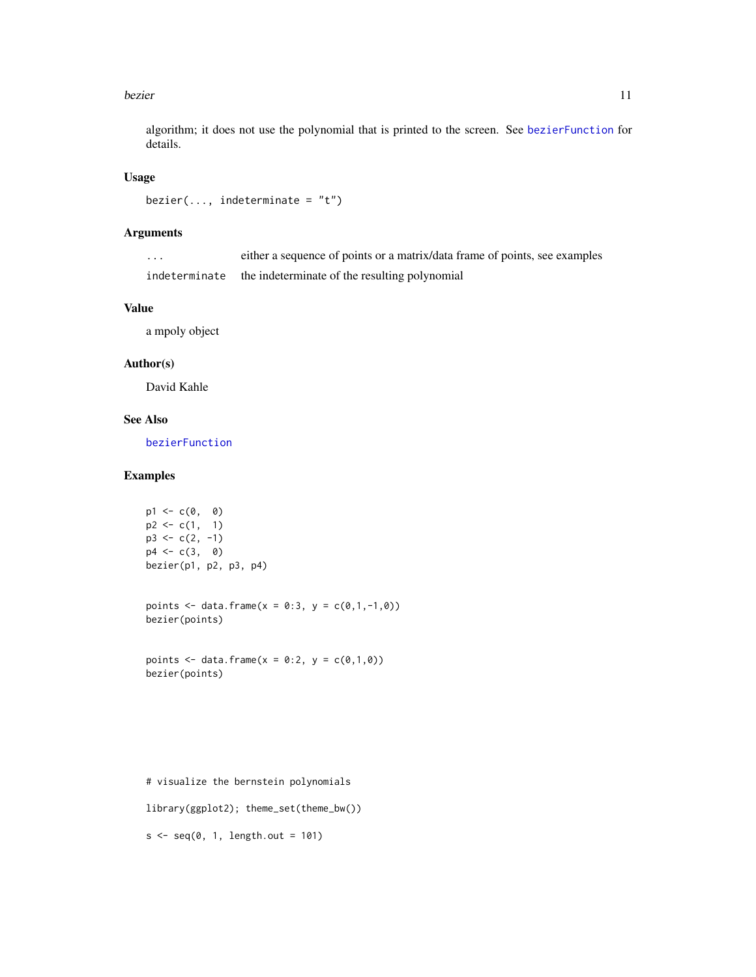#### <span id="page-10-0"></span>bezier als a strong text of the structure of the structure of the structure of the structure of the structure of the structure of the structure of the structure of the structure of the structure of the structure of the str

algorithm; it does not use the polynomial that is printed to the screen. See [bezierFunction](#page-12-1) for details.

# Usage

```
bezier(..., indeterminate = "t")
```
## Arguments

| . | either a sequence of points or a matrix/data frame of points, see examples |
|---|----------------------------------------------------------------------------|
|   | indeterminate the indeterminate of the resulting polynomial                |

## Value

a mpoly object

## Author(s)

David Kahle

## See Also

[bezierFunction](#page-12-1)

# Examples

```
p1 \leftarrow c(0, 0)p2 \leq c(1, 1)p3 \leq c(2, -1)p4 \leq -c(3, 0)bezier(p1, p2, p3, p4)
```
points <- data.frame(x = 0:3, y =  $c(0,1,-1,0)$ ) bezier(points)

points <- data.frame( $x = 0:2$ ,  $y = c(0,1,0)$ ) bezier(points)

```
# visualize the bernstein polynomials
library(ggplot2); theme_set(theme_bw())
s \leq -seq(0, 1, length.out = 101)
```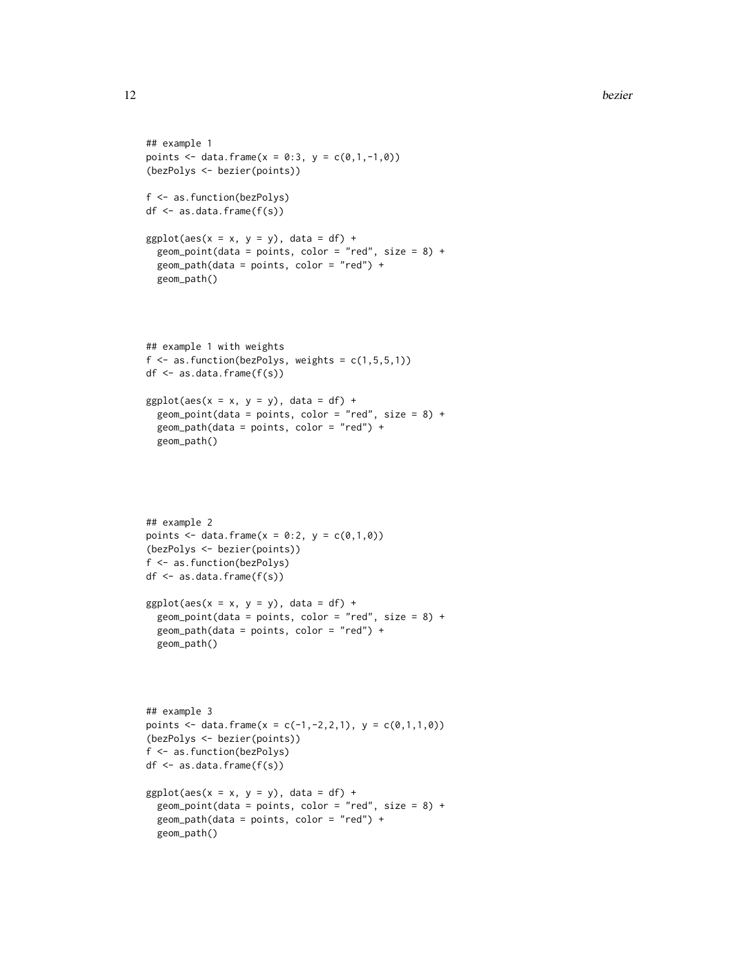```
## example 1
points <- data.frame(x = 0:3, y = c(0,1,-1,0))
(bezPolys <- bezier(points))
f <- as.function(bezPolys)
df \leftarrow as.data-frame(f(s))ggplot(aes(x = x, y = y), data = df) +geom_point(data = points, color = "red", size = 8) +
  geom_path(data = points, color = "red") +
  geom_path()
## example 1 with weights
f \leftarrow as . function(bezPolys, weights = c(1, 5, 5, 1))df <- as.data.frame(f(s))
ggplot(aes(x = x, y = y), data = df) +geom_point(data = points, color = "red", size = 8) +
  geom_path(data = points, color = "red") +
  geom_path()
## example 2
points <- data.frame(x = 0:2, y = c(0,1,0))
(bezPolys <- bezier(points))
f <- as.function(bezPolys)
df <- as.data.frame(f(s))
ggplot(aes(x = x, y = y), data = df) +geom\_point(data = points, color = "red", size = 8) +geom_path(data = points, color = "red") +
  geom_path()
## example 3
points <- data.frame(x = c(-1,-2,2,1), y = c(0,1,1,0))
(bezPolys <- bezier(points))
f <- as.function(bezPolys)
df <- as.data.frame(f(s))
ggplot(aes(x = x, y = y), data = df) +geom\_point(data = points, color = "red", size = 8) +geom_path(data = points, color = "red") +
  geom_path()
```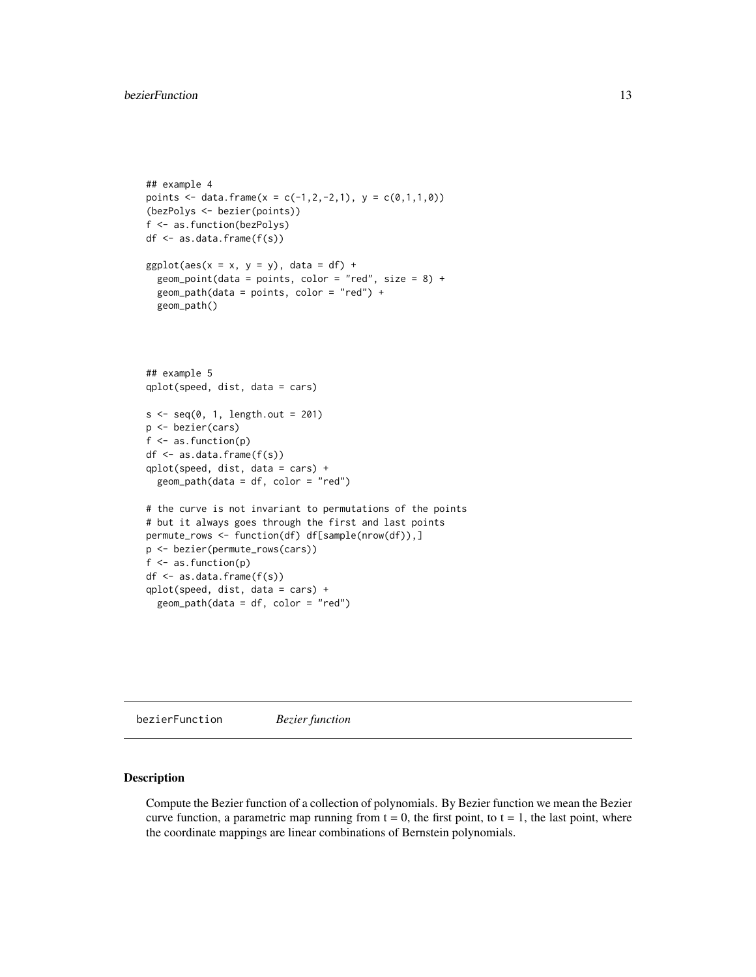```
## example 4
points <- data.frame(x = c(-1,2,-2,1), y = c(0,1,1,0))
(bezPolys <- bezier(points))
f <- as.function(bezPolys)
df \leftarrow as.data-frame(f(s))ggplot(aes(x = x, y = y), data = df) +geom_point(data = points, color = "red", size = 8) +
  geom\_path(data = points, color = "red") +geom_path()
## example 5
qplot(speed, dist, data = cars)
s \leftarrow seq(0, 1, length.out = 201)p <- bezier(cars)
f <- as.function(p)
df \leftarrow as.data-frame(f(s))qplot(speed, dist, data = cars) +
  geom\_path(data = df, color = "red")# the curve is not invariant to permutations of the points
# but it always goes through the first and last points
permute_rows <- function(df) df[sample(nrow(df)),]
p <- bezier(permute_rows(cars))
f <- as.function(p)
df \leftarrow as.data-frame(f(s))qplot(speed, dist, data = cars) +
  geom_path(data = df, color = "red")
```
<span id="page-12-1"></span>bezierFunction *Bezier function*

## Description

Compute the Bezier function of a collection of polynomials. By Bezier function we mean the Bezier curve function, a parametric map running from  $t = 0$ , the first point, to  $t = 1$ , the last point, where the coordinate mappings are linear combinations of Bernstein polynomials.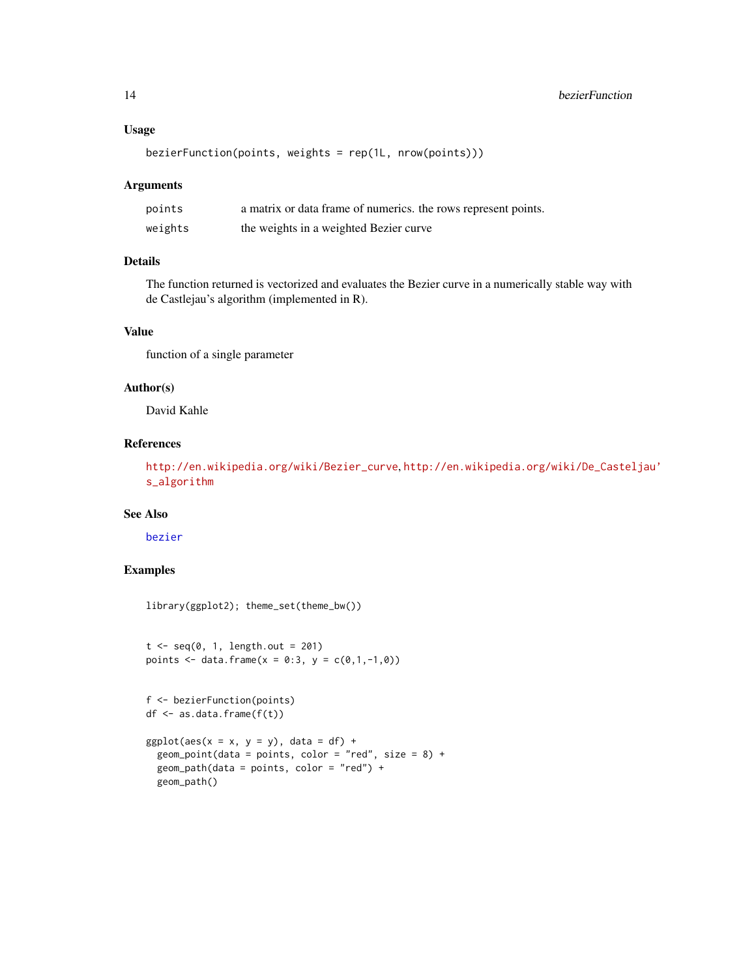## <span id="page-13-0"></span>Usage

```
bezierFunction(points, weights = rep(1L, nrow(points)))
```
## Arguments

| points  | a matrix or data frame of numerics, the rows represent points. |
|---------|----------------------------------------------------------------|
| weights | the weights in a weighted Bezier curve                         |

# Details

The function returned is vectorized and evaluates the Bezier curve in a numerically stable way with de Castlejau's algorithm (implemented in R).

## Value

function of a single parameter

## Author(s)

David Kahle

# References

[http://en.wikipedia.org/wiki/Bezier\\_curve](http://en.wikipedia.org/wiki/Bezier_curve), [http://en.wikipedia.org/wiki/De\\_Castel](http://en.wikipedia.org/wiki/De_Casteljau)jau' [s\\_algorithm](http://en.wikipedia.org/wiki/De_Casteljau)

## See Also

[bezier](#page-9-1)

```
library(ggplot2); theme_set(theme_bw())
```

```
t < -seq(0, 1, length.out = 201)points <- data.frame(x = 0:3, y = c(0,1,-1,0))
```

```
f <- bezierFunction(points)
df <- as.data.frame(f(t))
ggplot(aes(x = x, y = y), data = df) +geom_point(data = points, color = "red", size = 8) +
  geom_path(data = points, color = "red") +
  geom_path()
```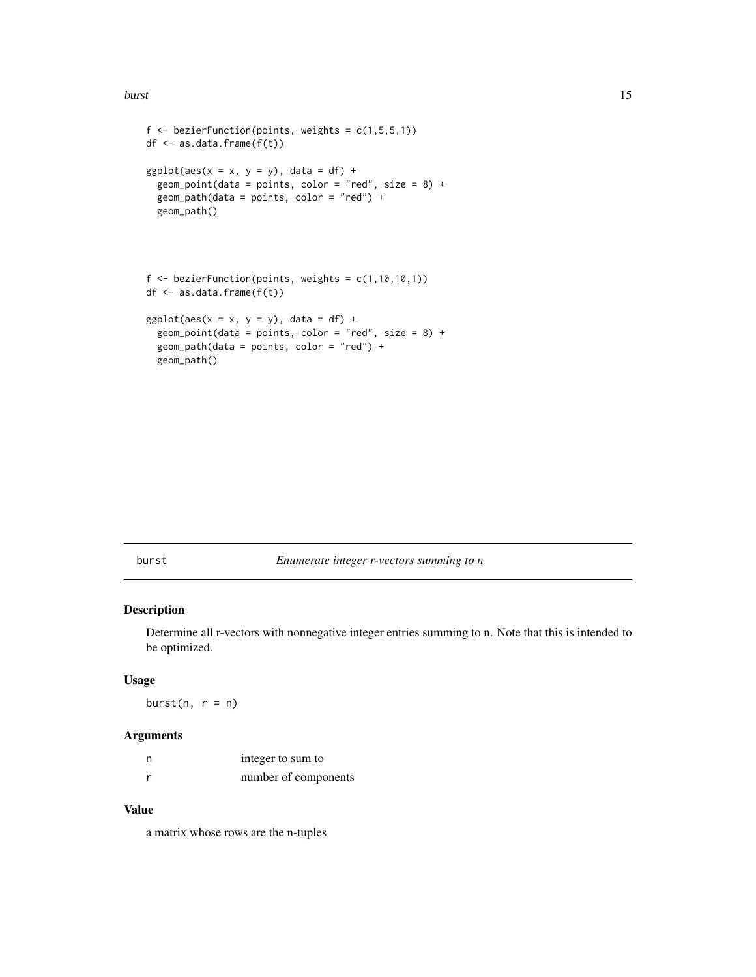<span id="page-14-0"></span>burst the contract of the contract of the contract of the contract of the contract of the contract of the contract of the contract of the contract of the contract of the contract of the contract of the contract of the cont

```
f \leq bezierFunction(points, weights = c(1,5,5,1))
df <- as.data.frame(f(t))
ggplot(aes(x = x, y = y), data = df) +geom\_point(data = points, color = "red", size = 8) +geom_path(data = points, color = "red") +
  geom_path()
f \leftarrow bezierFunction(points, weights = c(1, 10, 10, 1))
df <- as.data.frame(f(t))
ggplot(aes(x = x, y = y), data = df) +geom_point(data = points, color = "red", size = 8) +
```

```
geom_path(data = points, color = "red") +
geom_path()
```
burst *Enumerate integer r-vectors summing to n*

# Description

Determine all r-vectors with nonnegative integer entries summing to n. Note that this is intended to be optimized.

#### Usage

burst $(n, r = n)$ 

#### Arguments

| n | integer to sum to    |
|---|----------------------|
|   | number of components |

# Value

a matrix whose rows are the n-tuples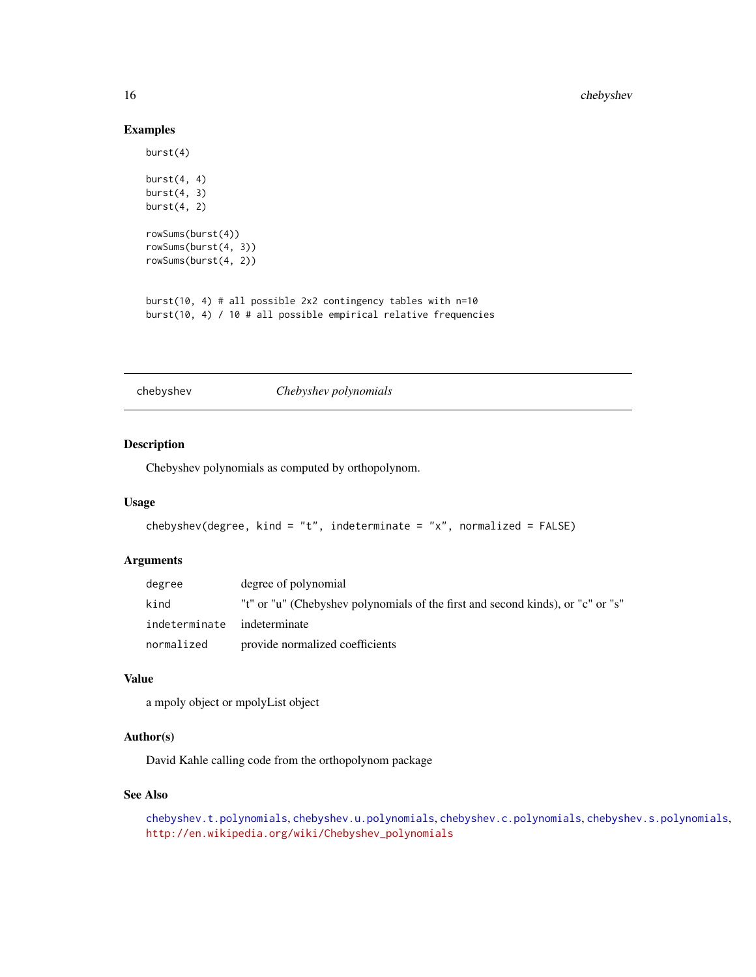# Examples

```
burst(4)
burst(4, 4)burst(4, 3)burst(4, 2)rowSums(burst(4))
rowSums(burst(4, 3))
rowSums(burst(4, 2))
burst(10, 4) # all possible 2x2 contingency tables with n=10
```
burst(10, 4) / 10 # all possible empirical relative frequencies

chebyshev *Chebyshev polynomials*

# Description

Chebyshev polynomials as computed by orthopolynom.

# Usage

```
chebyshev(degree, kind = "t", indeterminate = "x", normalized = FALSE)
```
# Arguments

| degree                      | degree of polynomial                                                            |
|-----------------------------|---------------------------------------------------------------------------------|
| kind                        | "t" or "u" (Chebyshev polynomials of the first and second kinds), or "c" or "s" |
| indeterminate indeterminate |                                                                                 |
| normalized                  | provide normalized coefficients                                                 |

# Value

a mpoly object or mpolyList object

# Author(s)

David Kahle calling code from the orthopolynom package

## See Also

```
chebyshev.t.polynomials, chebyshev.u.polynomials, chebyshev.c.polynomials, chebyshev.s.polynomials,
http://en.wikipedia.org/wiki/Chebyshev_polynomials
```
<span id="page-15-0"></span>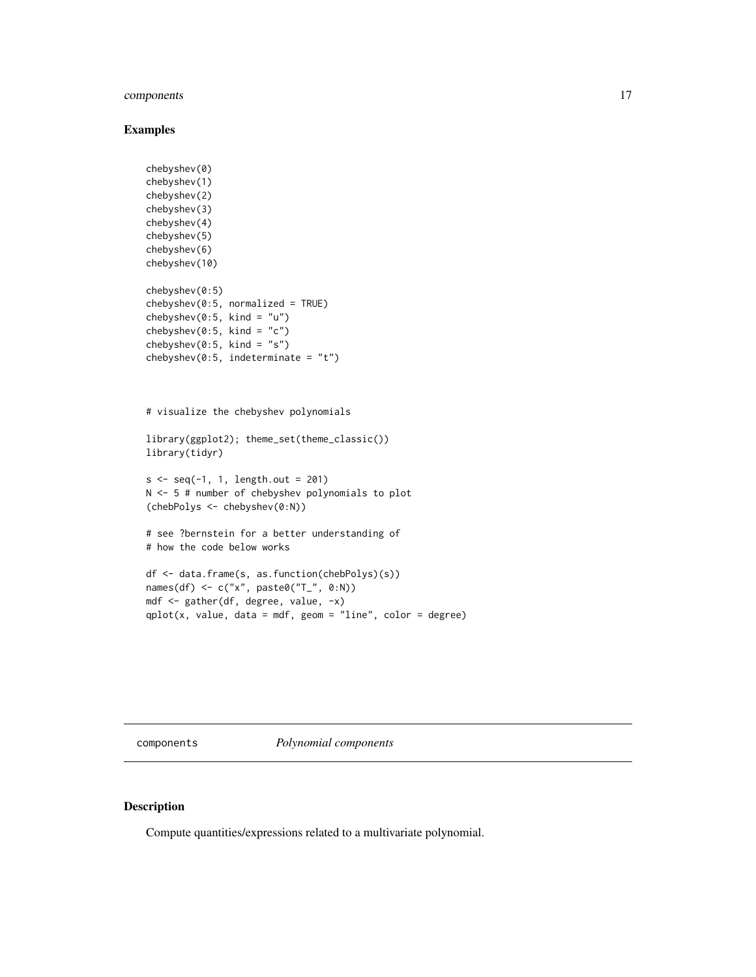# <span id="page-16-0"></span>components and the components of  $\sim$  17

## Examples

```
chebyshev(0)
chebyshev(1)
chebyshev(2)
chebyshev(3)
chebyshev(4)
chebyshev(5)
chebyshev(6)
chebyshev(10)
chebyshev(0:5)
chebyshev(0:5, normalized = TRUE)
chebyshev(0:5, kind = "u")
chebyshev(0:5, kind = "c")chebyshev(0:5, kind = "s")
chebyshev(0:5, indeterminate = "t")
# visualize the chebyshev polynomials
library(ggplot2); theme_set(theme_classic())
library(tidyr)
s < -seq(-1, 1, length.out = 201)N <- 5 # number of chebyshev polynomials to plot
(chebPolys <- chebyshev(0:N))
# see ?bernstein for a better understanding of
# how the code below works
df <- data.frame(s, as.function(chebPolys)(s))
names(df) <- c("x", paste0("T_", 0:N))
mdf <- gather(df, degree, value, -x)
qplot(x, value, data = mdf, geom = "line", color = degree)
```
components *Polynomial components*

# Description

Compute quantities/expressions related to a multivariate polynomial.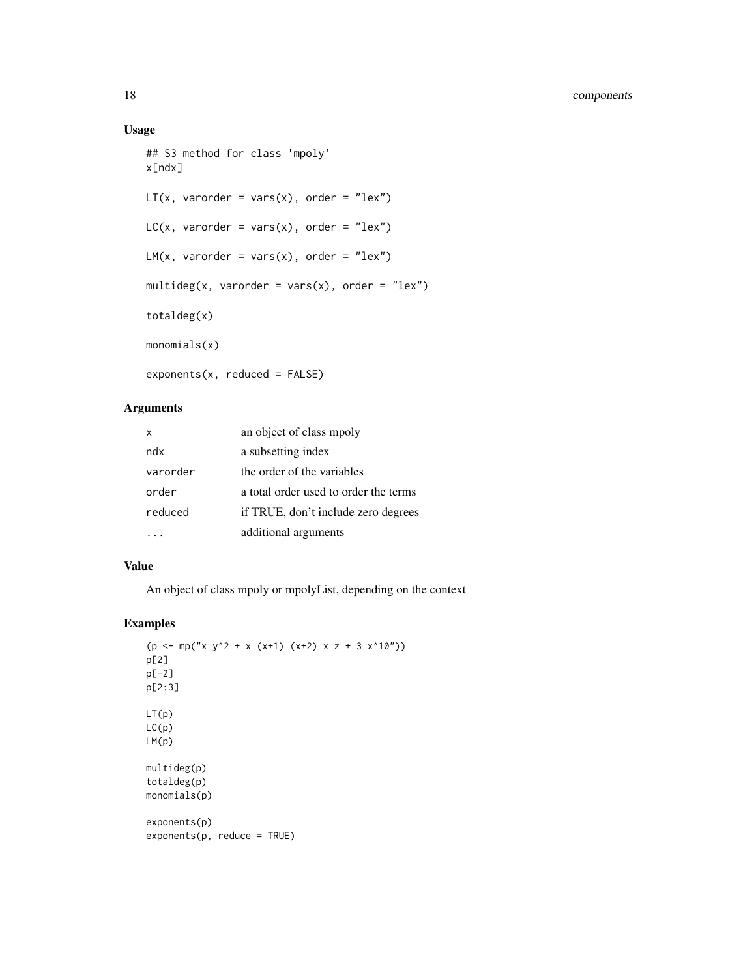# Usage

```
## S3 method for class 'mpoly'
x[ndx]
LT(x, varorder = vars(x), order = "lex")LC(x, varorder = vars(x), order = "lex")LM(x, varorder = vars(x), order = "lex")multideg(x, varorder = vars(x), order = "lex")
totaldeg(x)
monomials(x)
exponents(x, reduced = FALSE)
```
# Arguments

| x        | an object of class mpoly              |
|----------|---------------------------------------|
| ndx      | a subsetting index                    |
| varorder | the order of the variables            |
| order    | a total order used to order the terms |
| reduced  | if TRUE, don't include zero degrees   |
|          | additional arguments                  |

## Value

An object of class mpoly or mpolyList, depending on the context

```
(p \le m p("x y^2 + x (x+1) (x+2) x z + 3 x^10"))p[2]
p[-2]
p[2:3]
LT(p)
LC(p)LM(p)
multideg(p)
totaldeg(p)
monomials(p)
exponents(p)
exponents(p, reduce = TRUE)
```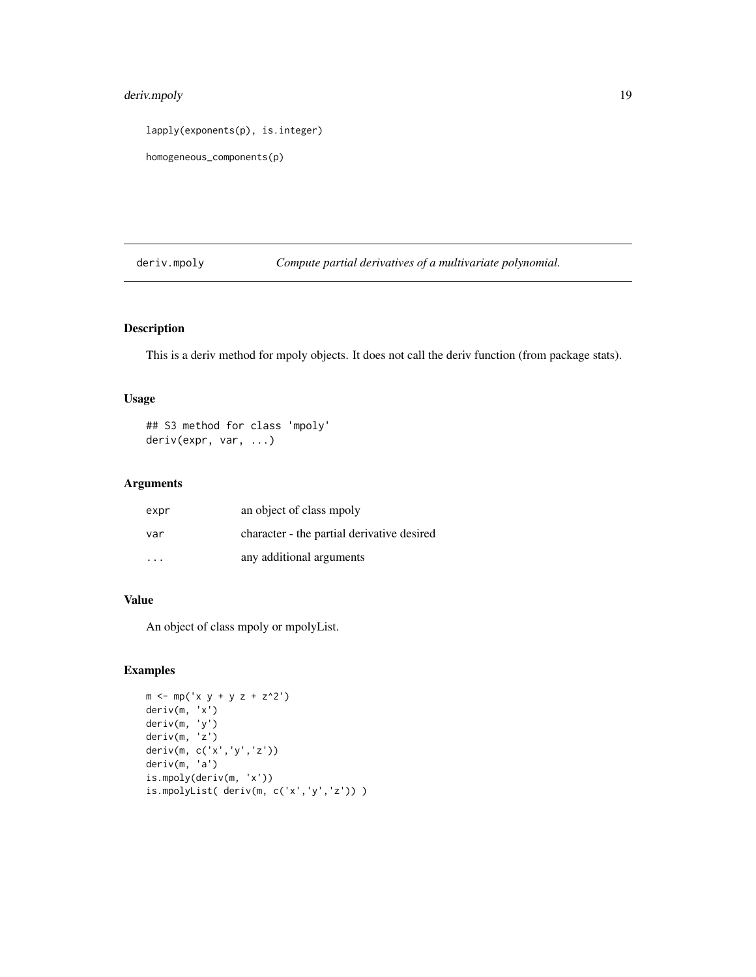# <span id="page-18-0"></span>deriv.mpoly 19

lapply(exponents(p), is.integer)

```
homogeneous_components(p)
```
<span id="page-18-1"></span>deriv.mpoly *Compute partial derivatives of a multivariate polynomial.*

# Description

This is a deriv method for mpoly objects. It does not call the deriv function (from package stats).

# Usage

## S3 method for class 'mpoly' deriv(expr, var, ...)

# Arguments

| expr | an object of class mpoly                   |
|------|--------------------------------------------|
| var  | character - the partial derivative desired |
| .    | any additional arguments                   |

# Value

An object of class mpoly or mpolyList.

```
m \le m mp('x y + y z + z^2')
deriv(m, 'x')
deriv(m, 'y')
deriv(m, 'z')
deriv(m, c('x','y','z'))
deriv(m, 'a')
is.mpoly(deriv(m, 'x'))
is.mpolyList( deriv(m, c('x','y','z')) )
```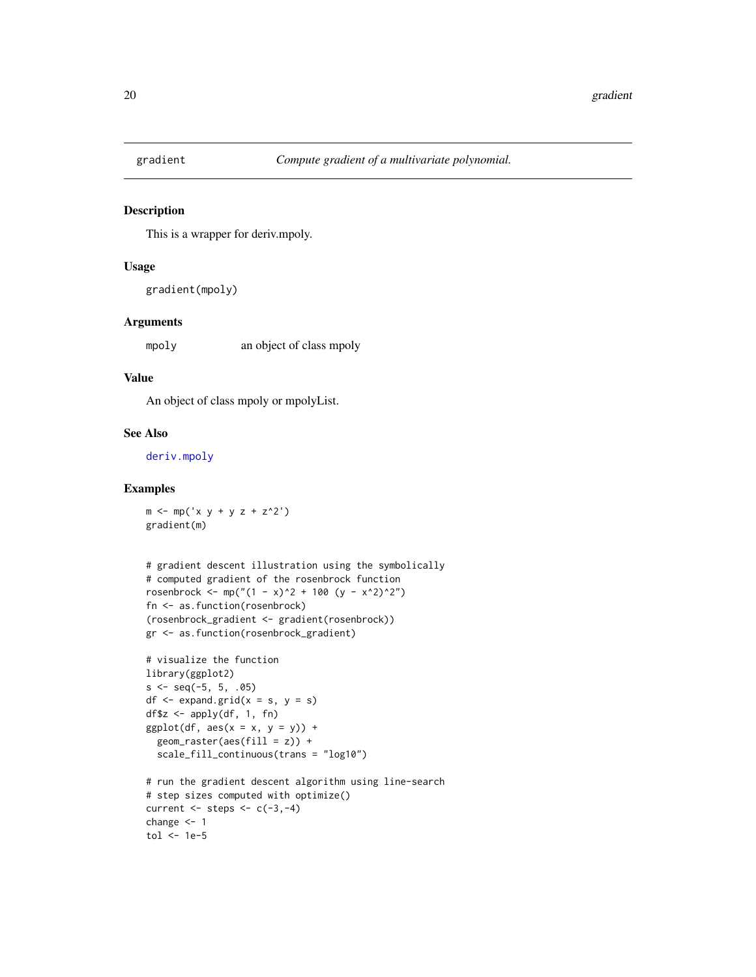<span id="page-19-0"></span>

## Description

This is a wrapper for deriv.mpoly.

### Usage

gradient(mpoly)

## Arguments

mpoly an object of class mpoly

#### Value

An object of class mpoly or mpolyList.

# See Also

[deriv.mpoly](#page-18-1)

# Examples

 $m \le -mp('x y + y z + z^2')$ gradient(m)

```
# gradient descent illustration using the symbolically
# computed gradient of the rosenbrock function
rosenbrock <- mp("(1 - x)^2 + 100 (y - x^2)^2")
fn <- as.function(rosenbrock)
(rosenbrock_gradient <- gradient(rosenbrock))
gr <- as.function(rosenbrock_gradient)
```

```
# visualize the function
library(ggplot2)
s \leq -\text{seq}(-5, 5, .05)df \leq expand.grid(x = s, y = s)
df$z <- apply(df, 1, fn)
ggplot(df, aes(x = x, y = y)) +geom\_raster(aes(fill = z)) +scale_fill_continuous(trans = "log10")
# run the gradient descent algorithm using line-search
```

```
# step sizes computed with optimize()
current \leq steps \leq c(-3,-4)
change <- 1
tol <- 1e-5
```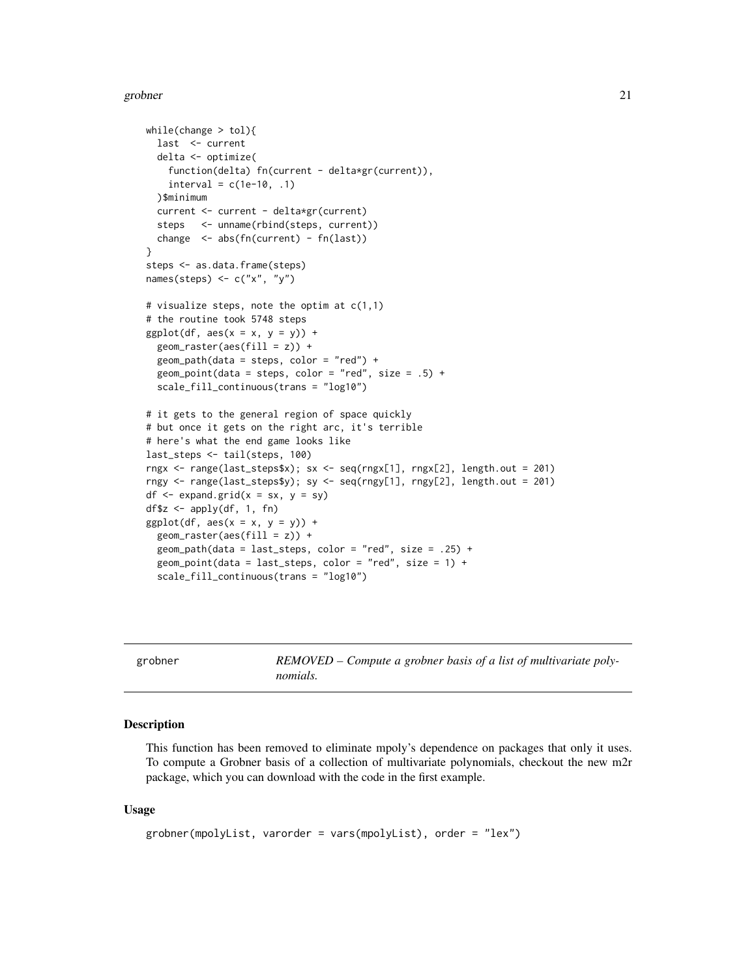#### <span id="page-20-0"></span>grobner 21 august 2016 ble en de stats de la proposa de la proposa de la proposa de la proposa de la proposa d

```
while(change > tol){
 last <- current
 delta <- optimize(
    function(delta) fn(current - delta*gr(current)),
    interval = c(1e-10, .1))$minimum
 current <- current - delta*gr(current)
 steps <- unname(rbind(steps, current))
 change <- abs(fn(current) - fn(last))
}
steps <- as.data.frame(steps)
names(steps) \leq c("x", "y")
# visualize steps, note the optim at c(1,1)
# the routine took 5748 steps
ggplot(df, aes(x = x, y = y)) +geom_raster(aes(fill = z)) +
 geom_path(data = steps, color = "red") +
 geom_point(data = steps, color = "red", size = .5) +
 scale_fill_continuous(trans = "log10")
# it gets to the general region of space quickly
# but once it gets on the right arc, it's terrible
# here's what the end game looks like
last_steps <- tail(steps, 100)
rngx <- range(last_steps$x); sx <- seq(rngx[1], rngx[2], length.out = 201)
rngy <- range(last_steps$y); sy <- seq(rngy[1], rngy[2], length.out = 201)
df \leq - expand.grid(x = sx, y = sy)
df$z <- apply(df, 1, fn)
ggplot(df, aes(x = x, y = y)) +geom_raster(aes(fill = z)) +
 geom_path(data = last_steps, color = "red", size = .25) +
 geom_point(data = last_steps, color = "red", size = 1) +
 scale_fill_continuous(trans = "log10")
```
grobner *REMOVED – Compute a grobner basis of a list of multivariate polynomials.*

## Description

This function has been removed to eliminate mpoly's dependence on packages that only it uses. To compute a Grobner basis of a collection of multivariate polynomials, checkout the new m2r package, which you can download with the code in the first example.

```
grobner(mpolyList, varorder = vars(mpolyList), order = "lex")
```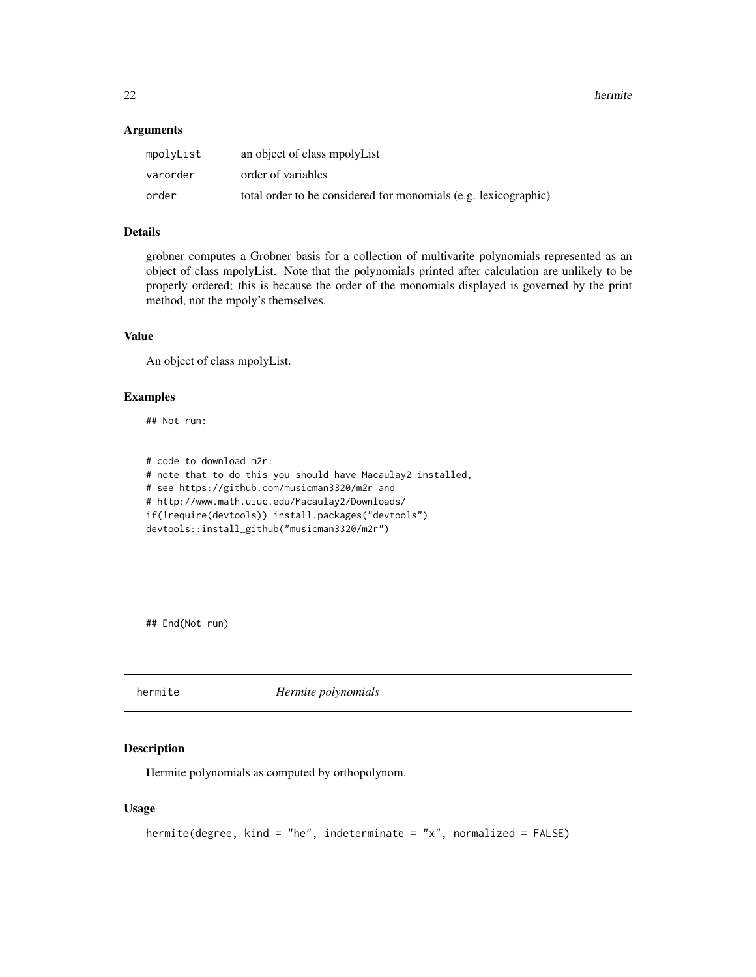<span id="page-21-0"></span>22 hermite and the set of the set of the set of the set of the set of the set of the set of the set of the set of the set of the set of the set of the set of the set of the set of the set of the set of the set of the set o

## Arguments

| mpolyList | an object of class mpolyList                                    |
|-----------|-----------------------------------------------------------------|
| varorder  | order of variables                                              |
| order     | total order to be considered for monomials (e.g. lexicographic) |

# Details

grobner computes a Grobner basis for a collection of multivarite polynomials represented as an object of class mpolyList. Note that the polynomials printed after calculation are unlikely to be properly ordered; this is because the order of the monomials displayed is governed by the print method, not the mpoly's themselves.

## Value

An object of class mpolyList.

## Examples

## Not run:

# code to download m2r: # note that to do this you should have Macaulay2 installed, # see https://github.com/musicman3320/m2r and # http://www.math.uiuc.edu/Macaulay2/Downloads/ if(!require(devtools)) install.packages("devtools") devtools::install\_github("musicman3320/m2r")

## End(Not run)

hermite *Hermite polynomials*

## Description

Hermite polynomials as computed by orthopolynom.

```
hermite(degree, kind = "he", indeterminate = "x", normalized = FALSE)
```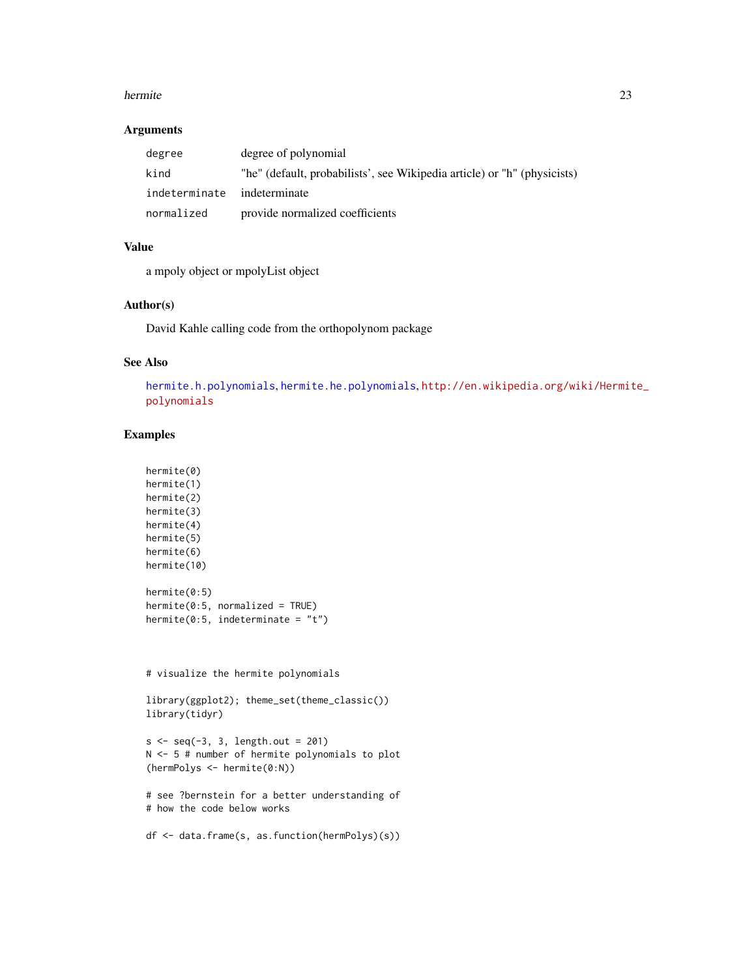#### <span id="page-22-0"></span>hermite 23

## Arguments

| degree                      | degree of polynomial                                                     |
|-----------------------------|--------------------------------------------------------------------------|
| kind                        | "he" (default, probabilists', see Wikipedia article) or "h" (physicists) |
| indeterminate indeterminate |                                                                          |
| normalized                  | provide normalized coefficients                                          |

# Value

a mpoly object or mpolyList object

# Author(s)

David Kahle calling code from the orthopolynom package

# See Also

[hermite.h.polynomials](#page-0-0), [hermite.he.polynomials](#page-0-0), [http://en.wikipedia.org/wiki/Hermit](http://en.wikipedia.org/wiki/Hermite_polynomials)e\_ [polynomials](http://en.wikipedia.org/wiki/Hermite_polynomials)

# Examples

```
hermite(0)
hermite(1)
hermite(2)
hermite(3)
hermite(4)
hermite(5)
hermite(6)
hermite(10)
hermite(0:5)
hermite(0:5, normalized = TRUE)
hermite(0:5, indeterminate = "t")
```
# visualize the hermite polynomials

```
library(ggplot2); theme_set(theme_classic())
library(tidyr)
```

```
s < -seq(-3, 3, length.out = 201)N <- 5 # number of hermite polynomials to plot
(hermPolys <- hermite(0:N))
```

```
# see ?bernstein for a better understanding of
# how the code below works
```

```
df <- data.frame(s, as.function(hermPolys)(s))
```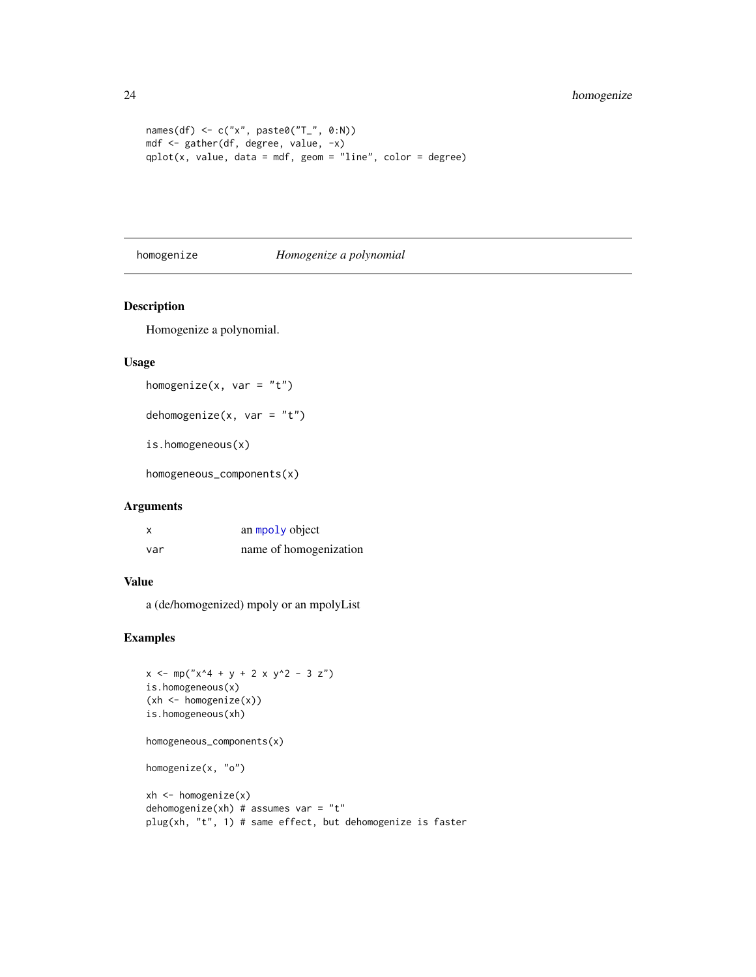```
names(df) \leq c("x", paste0("T_", 0:N))
mdf <- gather(df, degree, value, -x)
qplot(x, value, data = mdf, geom = "line", color = degree)
```
## homogenize *Homogenize a polynomial*

# Description

Homogenize a polynomial.

# Usage

```
homogenize(x, var = "t")
```
dehomogenize $(x, var = "t")$ 

is.homogeneous(x)

homogeneous\_components(x)

## Arguments

| X   | an mpoly object        |
|-----|------------------------|
| var | name of homogenization |

# Value

a (de/homogenized) mpoly or an mpolyList

```
x \le m p("x^4 + y + 2 x y^2 - 3 z")is.homogeneous(x)
(xh <- homogenize(x))
is.homogeneous(xh)
homogeneous_components(x)
homogenize(x, "o")
xh \le - \text{homogeneity}(x)dehomogenize(xh) # assumes var = "t"plug(xh, "t", 1) # same effect, but dehomogenize is faster
```
<span id="page-23-0"></span>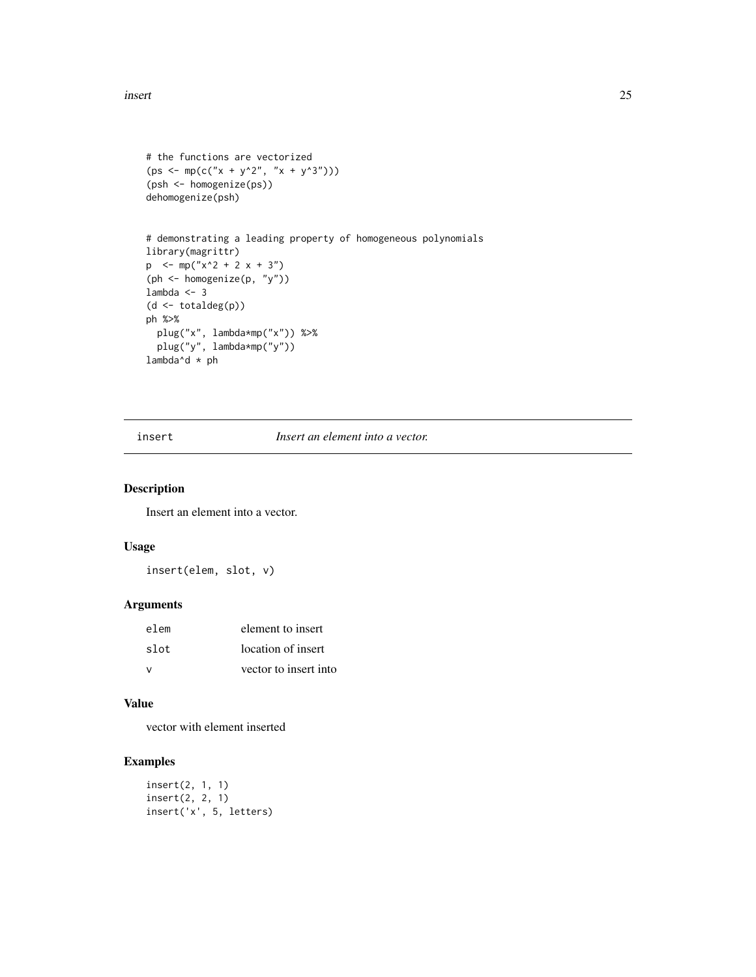#### <span id="page-24-0"></span>insert 25

```
# the functions are vectorized
(ps \leq mpc(C''x + y^2', 'x + y^3')))(psh <- homogenize(ps))
dehomogenize(psh)
# demonstrating a leading property of homogeneous polynomials
library(magrittr)
p \le -mp("x^2 + 2 x + 3")(ph <- homogenize(p, "y"))
lambda <- 3
(d <- totaldeg(p))
ph %>%
  plug("x", lambda*mp("x")) %>%
  plug("y", lambda*mp("y"))
lambda^d * ph
```
insert *Insert an element into a vector.*

# Description

Insert an element into a vector.

## Usage

insert(elem, slot, v)

# Arguments

| elem          | element to insert     |  |
|---------------|-----------------------|--|
| slot          | location of insert    |  |
| $\mathcal{U}$ | vector to insert into |  |

#### Value

vector with element inserted

```
insert(2, 1, 1)
insert(2, 2, 1)
insert('x', 5, letters)
```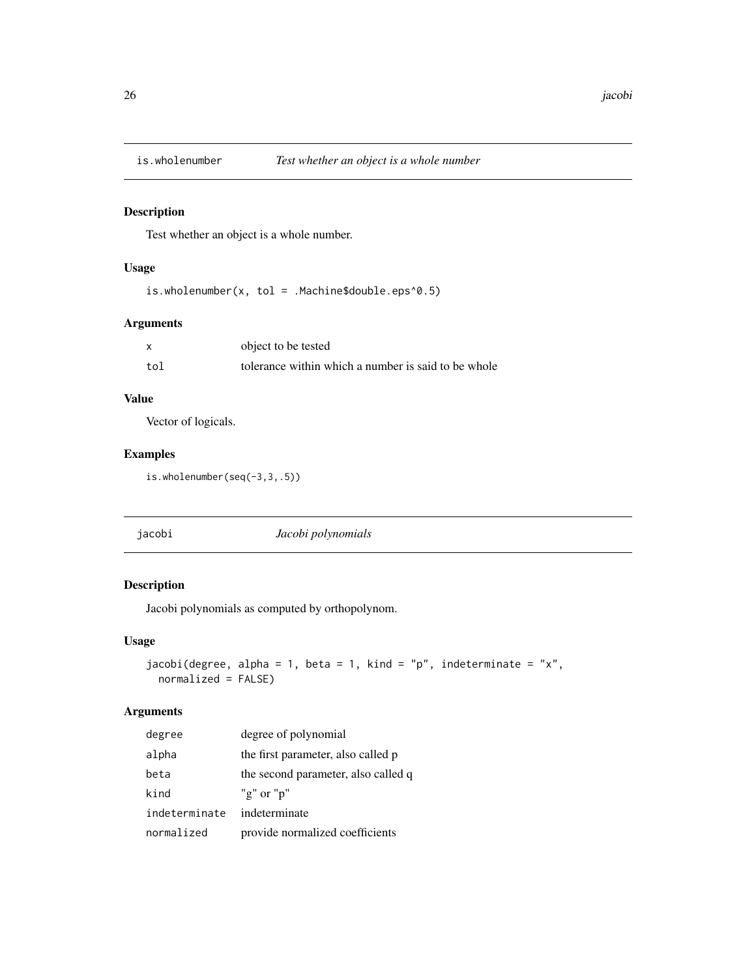<span id="page-25-0"></span>

# Description

Test whether an object is a whole number.

# Usage

is.wholenumber(x, tol = .Machine\$double.eps^0.5)

# Arguments

|     | object to be tested                                 |
|-----|-----------------------------------------------------|
| tol | tolerance within which a number is said to be whole |

# Value

Vector of logicals.

# Examples

is.wholenumber(seq(-3,3,.5))

| jacobi<br>Jacobi polynomials |
|------------------------------|
|------------------------------|

# Description

Jacobi polynomials as computed by orthopolynom.

## Usage

```
jacobi(degree, alpha = 1, beta = 1, kind = "p", indeterminate = "x",
 normalized = FALSE)
```
# Arguments

| degree        | degree of polynomial                |
|---------------|-------------------------------------|
| alpha         | the first parameter, also called p  |
| beta          | the second parameter, also called q |
| kind          | "g" or " $p$ "                      |
| indeterminate | indeterminate                       |
| normalized    | provide normalized coefficients     |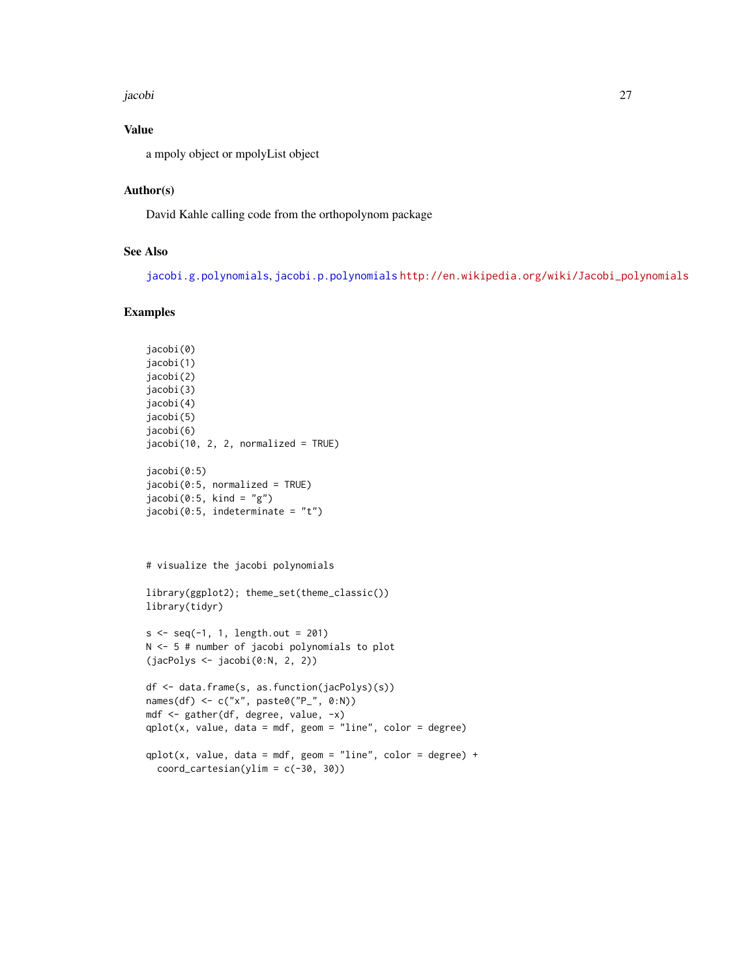#### <span id="page-26-0"></span>jacobi 27

# Value

a mpoly object or mpolyList object

# Author(s)

David Kahle calling code from the orthopolynom package

# See Also

[jacobi.g.polynomials](#page-0-0), [jacobi.p.polynomials](#page-0-0) [http://en.wikipedia.org/wiki/Jacobi\\_polynomials](http://en.wikipedia.org/wiki/Jacobi_polynomials)

```
jacobi(0)
jacobi(1)
jacobi(2)
jacobi(3)
jacobi(4)
jacobi(5)
jacobi(6)
jacobi(10, 2, 2, normalized = TRUE)jacobi(0:5)
jacobi(0:5, normalized = TRUE)jacobi(0:5, kind = "g")jacobi(0:5, indeterminate = "t")
```

```
# visualize the jacobi polynomials
```

```
library(ggplot2); theme_set(theme_classic())
library(tidyr)
```

```
s < -seq(-1, 1, length.out = 201)N <- 5 # number of jacobi polynomials to plot
(jacPolys <- jacobi(0:N, 2, 2))
```

```
df <- data.frame(s, as.function(jacPolys)(s))
names(df) <- c("x", paste0("P_", 0:N))
mdf <- gather(df, degree, value, -x)
qplot(x, value, data = mdf, geom = "line", color = degree)qplot(x, value, data = mdf, geom = "line", color = degree) +
```

```
coord\_cartesian(ylim = c(-30, 30))
```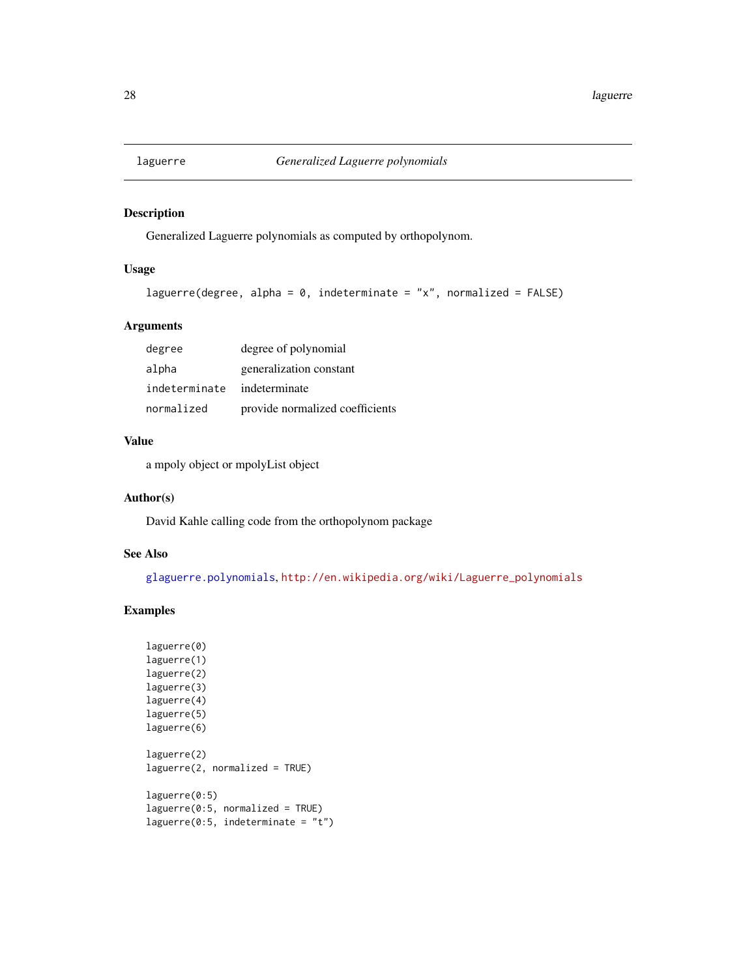<span id="page-27-0"></span>

# Description

Generalized Laguerre polynomials as computed by orthopolynom.

# Usage

```
laguerre(degree, alpha = 0, indeterminate = "x", normalized = FALSE)
```
# Arguments

| degree        | degree of polynomial            |
|---------------|---------------------------------|
| alpha         | generalization constant         |
| indeterminate | indeterminate                   |
| normalized    | provide normalized coefficients |

## Value

a mpoly object or mpolyList object

## Author(s)

David Kahle calling code from the orthopolynom package

# See Also

[glaguerre.polynomials](#page-0-0), [http://en.wikipedia.org/wiki/Laguerre\\_polynomials](http://en.wikipedia.org/wiki/Laguerre_polynomials)

```
laguerre(0)
laguerre(1)
laguerre(2)
laguerre(3)
laguerre(4)
laguerre(5)
laguerre(6)
laguerre(2)
laguerre(2, normalized = TRUE)
laguerre(0:5)
laguerre(0:5, normalized = TRUE)
laguerre(0:5, indeterminate = "t")
```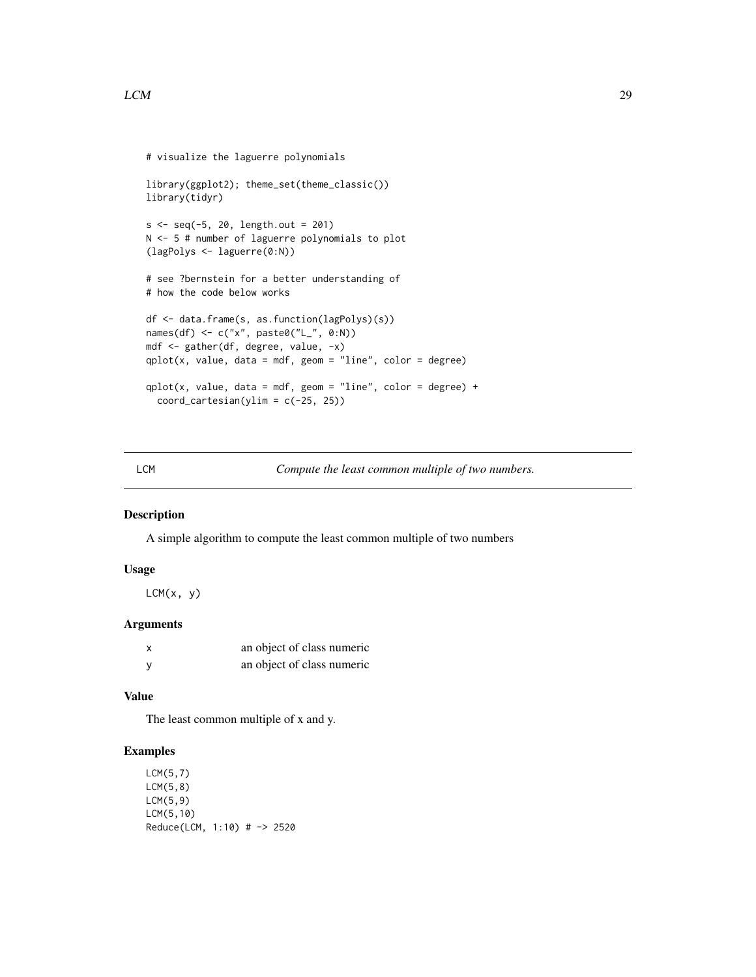```
# visualize the laguerre polynomials
library(ggplot2); theme_set(theme_classic())
library(tidyr)
s < -seq(-5, 20, length.out = 201)N <- 5 # number of laguerre polynomials to plot
(lagPolys <- laguerre(0:N))
# see ?bernstein for a better understanding of
# how the code below works
df <- data.frame(s, as.function(lagPolys)(s))
names(df) <- c("x", paste0("L_", 0:N))
mdf <- gather(df, degree, value, -x)
qplot(x, value, data = mdf, geom = "line", color = degree)qplot(x, value, data = mdf, geom = "line", color = degree) +coord\_cartesian(ylim = c(-25, 25))
```
LCM *Compute the least common multiple of two numbers.*

# Description

A simple algorithm to compute the least common multiple of two numbers

## Usage

 $LCM(x, y)$ 

## Arguments

| $\boldsymbol{\mathsf{x}}$ | an object of class numeric |
|---------------------------|----------------------------|
|                           | an object of class numeric |

## Value

The least common multiple of x and y.

```
LCM(5,7)
LCM(5,8)
LCM(5,9)
LCM(5,10)
Reduce(LCM, 1:10) # -> 2520
```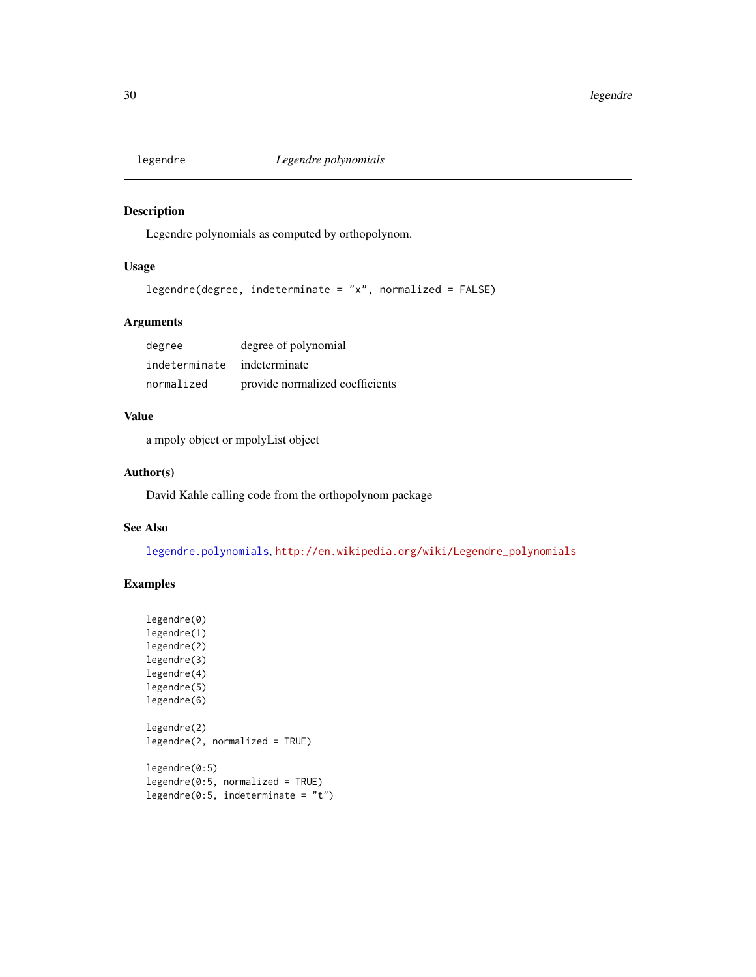<span id="page-29-0"></span>

# Description

Legendre polynomials as computed by orthopolynom.

# Usage

```
legendre(degree, indeterminate = "x", normalized = FALSE)
```
# Arguments

| degree        | degree of polynomial            |
|---------------|---------------------------------|
| indeterminate | indeterminate                   |
| normalized    | provide normalized coefficients |

# Value

a mpoly object or mpolyList object

## Author(s)

David Kahle calling code from the orthopolynom package

# See Also

[legendre.polynomials](#page-0-0), [http://en.wikipedia.org/wiki/Legendre\\_polynomials](http://en.wikipedia.org/wiki/Legendre_polynomials)

```
legendre(0)
legendre(1)
legendre(2)
legendre(3)
legendre(4)
legendre(5)
legendre(6)
legendre(2)
legendre(2, normalized = TRUE)
legendre(0:5)
legendre(0:5, normalized = TRUE)
legendre(0:5, indeterminate = "t")
```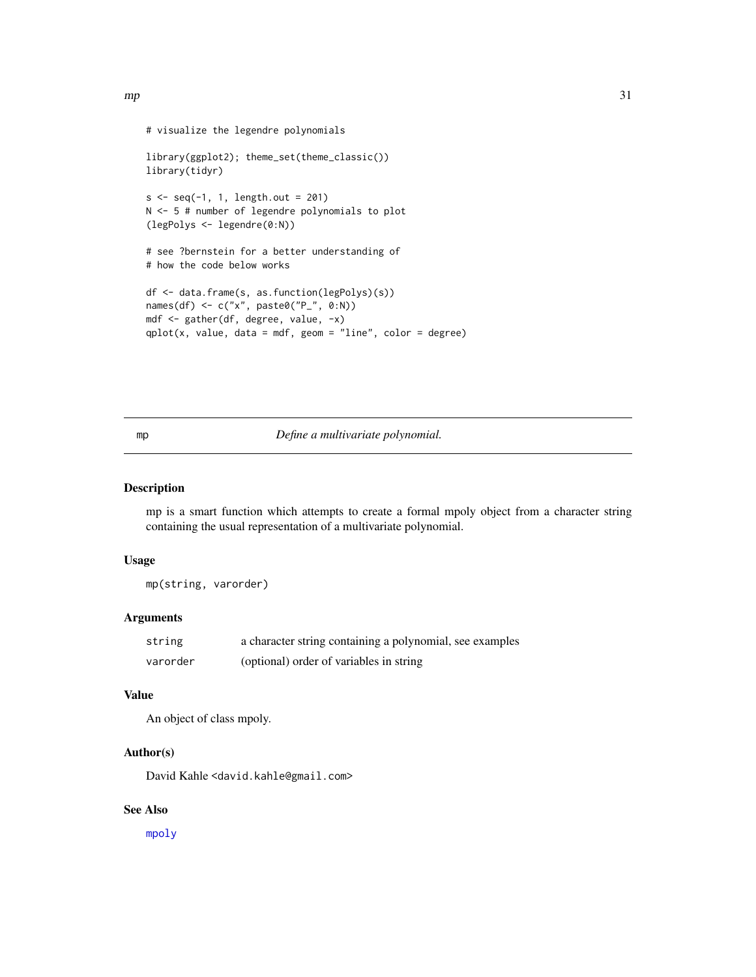```
# visualize the legendre polynomials
library(ggplot2); theme_set(theme_classic())
library(tidyr)
s < -seq(-1, 1, length.out = 201)N <- 5 # number of legendre polynomials to plot
(legPolys <- legendre(0:N))
# see ?bernstein for a better understanding of
# how the code below works
df <- data.frame(s, as.function(legPolys)(s))
names(df) <- c("x", paste0("P_", 0:N))
mdf <- gather(df, degree, value, -x)
qplot(x, value, data = mdf, geom = "line", color = degree)
```
## <span id="page-30-1"></span>mp *Define a multivariate polynomial.*

## Description

mp is a smart function which attempts to create a formal mpoly object from a character string containing the usual representation of a multivariate polynomial.

## Usage

mp(string, varorder)

## Arguments

| string   | a character string containing a polynomial, see examples |
|----------|----------------------------------------------------------|
| varorder | (optional) order of variables in string                  |

## Value

An object of class mpoly.

# Author(s)

David Kahle <david.kahle@gmail.com>

# See Also

[mpoly](#page-31-1)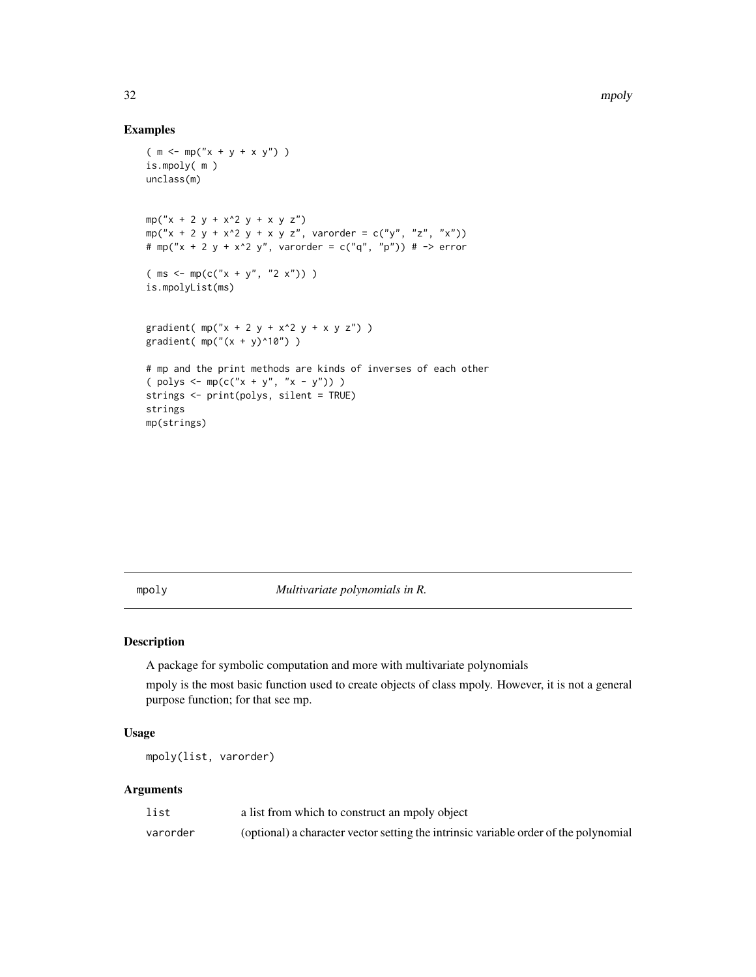# Examples

```
(m < - mp("x + y + x y")is.mpoly( m )
unclass(m)
mp("x + 2 y + x^2 y + x y z")mp("x + 2 y + x^2 y + x y z", varorder = c("y", "z", "x"))
# mp("x + 2 y + x^2 y", varorder = c("q", "p")) # -> error
(ms < - mp(c("x + y", "2 x")) )is.mpolyList(ms)
gradient( mp("x + 2 y + x^2 y + x y z"))
gradient( mp(" (x + y)^10") )# mp and the print methods are kinds of inverses of each other
( polys \le mp(c("x + y", "x - y")) )
strings <- print(polys, silent = TRUE)
strings
mp(strings)
```
<span id="page-31-1"></span>mpoly *Multivariate polynomials in R.*

## Description

A package for symbolic computation and more with multivariate polynomials

mpoly is the most basic function used to create objects of class mpoly. However, it is not a general purpose function; for that see mp.

# Usage

mpoly(list, varorder)

# Arguments

| list     | a list from which to construct an mpoly object                                       |
|----------|--------------------------------------------------------------------------------------|
| varorder | (optional) a character vector setting the intrinsic variable order of the polynomial |

<span id="page-31-0"></span>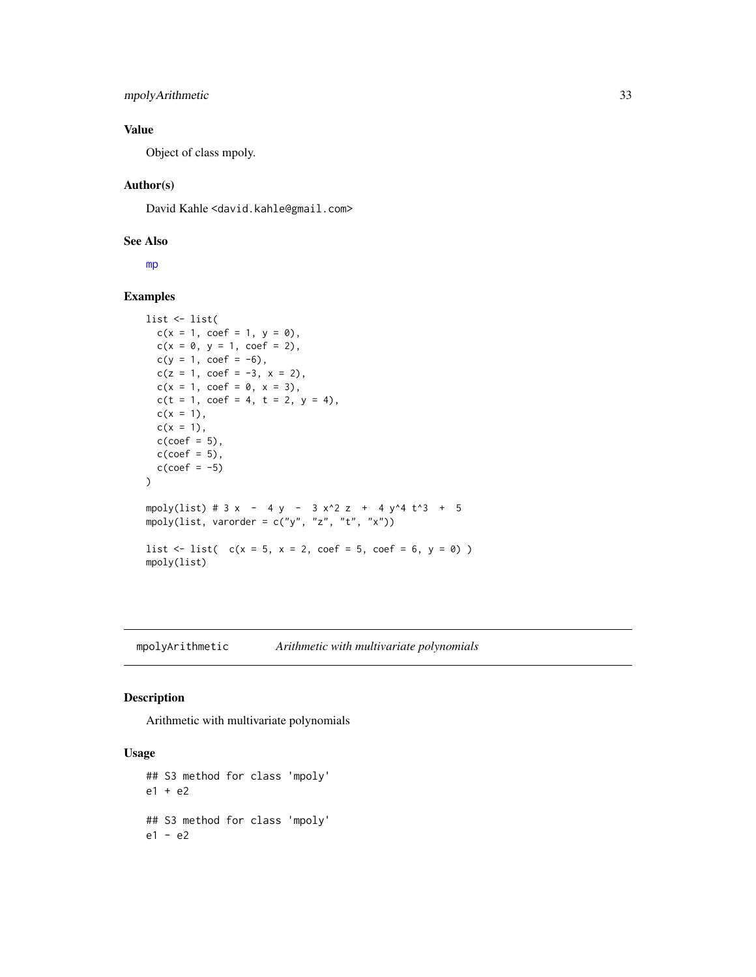# <span id="page-32-0"></span>mpolyArithmetic 33

# Value

Object of class mpoly.

## Author(s)

David Kahle<br/><david.kahle@gmail.com>

## See Also

[mp](#page-30-1)

## Examples

```
list <- list(
  c(x = 1, \text{ coef} = 1, y = 0),c(x = 0, y = 1, coef = 2),c(y = 1, coef = -6),c(z = 1, coef = -3, x = 2),c(x = 1, \text{ coef} = 0, x = 3),c(t = 1, coef = 4, t = 2, y = 4),
  c(x = 1),
  c(x = 1),c(coef = 5),
  c(coef = 5),
  c(coef = -5)\mathcal{L}mpoly(list) # 3 x - 4 y - 3 x^2 z + 4 y^4 t^3 + 5
mpoly(list, varorder = c("y", "z", "t", "x"))
list \le list( c(x = 5, x = 2, \text{coef} = 5, \text{coef} = 6, y = 0) )
mpoly(list)
```
mpolyArithmetic *Arithmetic with multivariate polynomials*

## Description

Arithmetic with multivariate polynomials

```
## S3 method for class 'mpoly'
e1 + e2
## S3 method for class 'mpoly'
e1 - e2
```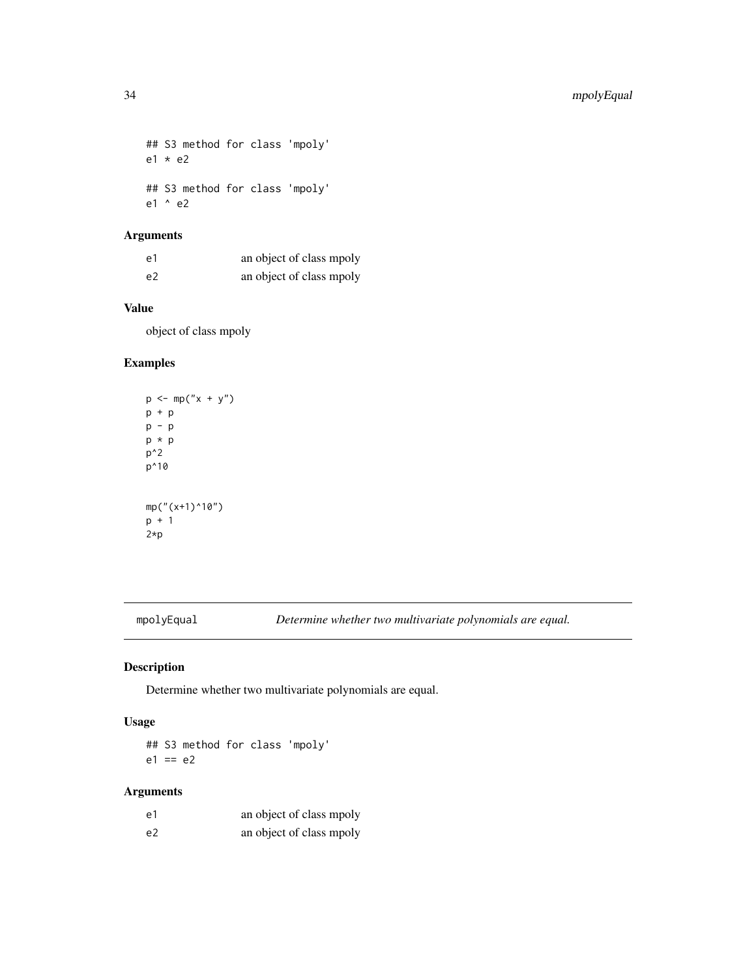<span id="page-33-0"></span>## S3 method for class 'mpoly' e1 \* e2 ## S3 method for class 'mpoly' e1 ^ e2

# Arguments

| e1             | an object of class mpoly |
|----------------|--------------------------|
| e <sub>2</sub> | an object of class mpoly |

# Value

object of class mpoly

# Examples

```
p \le m(p''x + y'')p + p
p - p
p * p
p^2
p^10
mp("(x+1)^10")
p + 1
2*p
```
mpolyEqual *Determine whether two multivariate polynomials are equal.*

# Description

Determine whether two multivariate polynomials are equal.

## Usage

## S3 method for class 'mpoly'  $e1 == e2$ 

# Arguments

| e1 | an object of class mpoly |
|----|--------------------------|
| e2 | an object of class mpoly |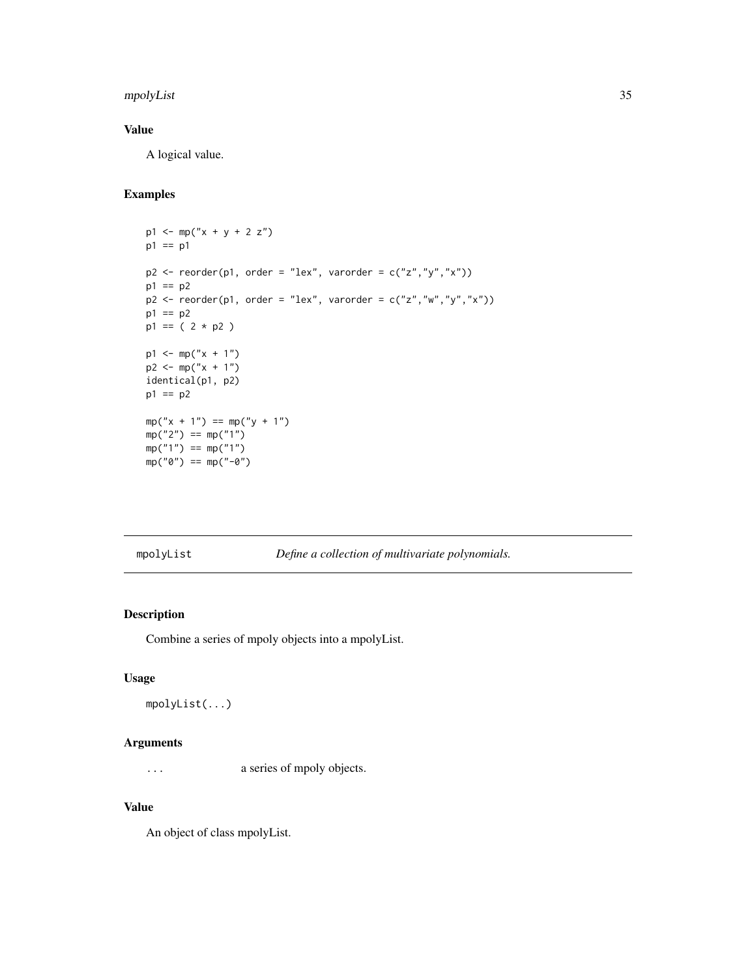# <span id="page-34-0"></span>mpolyList 35

# Value

A logical value.

# Examples

```
p1 \le m p("x + y + 2 z")p1 == p1p2 \leq reorder(p1, order = "lex", varorder = c("z", "y", "x"))
p1 == p2p2 <- reorder(p1, order = "lex", varorder = c("z","w","y","x"))
p1 == p2p1 == (2 * p2)p1 \leq -mp('x + 1")p2 \le - mp("x + 1")identical(p1, p2)
p1 == p2mp("x + 1") == mp("y + 1")mp("2") == mp("1")mp("1") == mp("1")mp("0") == mp("0")
```
mpolyList *Define a collection of multivariate polynomials.*

## Description

Combine a series of mpoly objects into a mpolyList.

## Usage

mpolyList(...)

## Arguments

... a series of mpoly objects.

# Value

An object of class mpolyList.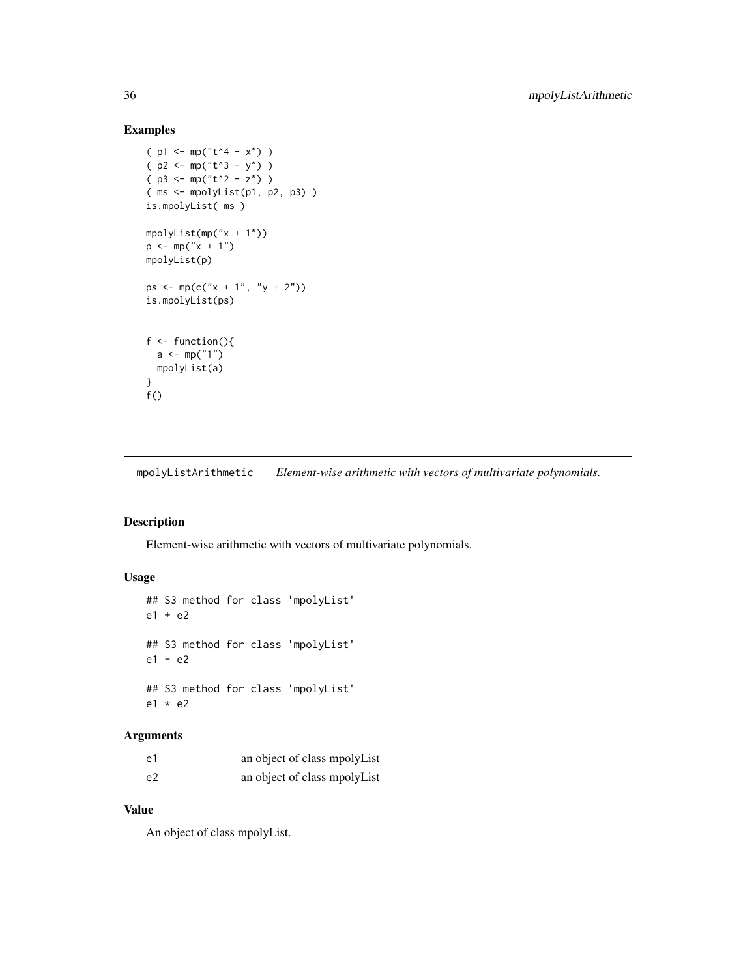# Examples

```
(p1 \le m p("t^4 - x") )(p2 < - mp("t^3 - y") )(p3 \le mp("t^2 - z") )( ms <- mpolyList(p1, p2, p3) )
is.mpolyList( ms )
mpolyList(mp("x + 1"))
p \le m p("x + 1")mpolyList(p)
ps <- mp(c("x + 1", "y + 2"))is.mpolyList(ps)
f \leftarrow function()a \leq m(p''1'')mpolyList(a)
}
f()
```
mpolyListArithmetic *Element-wise arithmetic with vectors of multivariate polynomials.*

# Description

Element-wise arithmetic with vectors of multivariate polynomials.

# Usage

```
## S3 method for class 'mpolyList'
e1 + e2
## S3 method for class 'mpolyList'
e1 - e2
## S3 method for class 'mpolyList'
e1 * e2
```
## Arguments

| e1 | an object of class mpolyList |  |
|----|------------------------------|--|
| e2 | an object of class mpolyList |  |

# Value

An object of class mpolyList.

<span id="page-35-0"></span>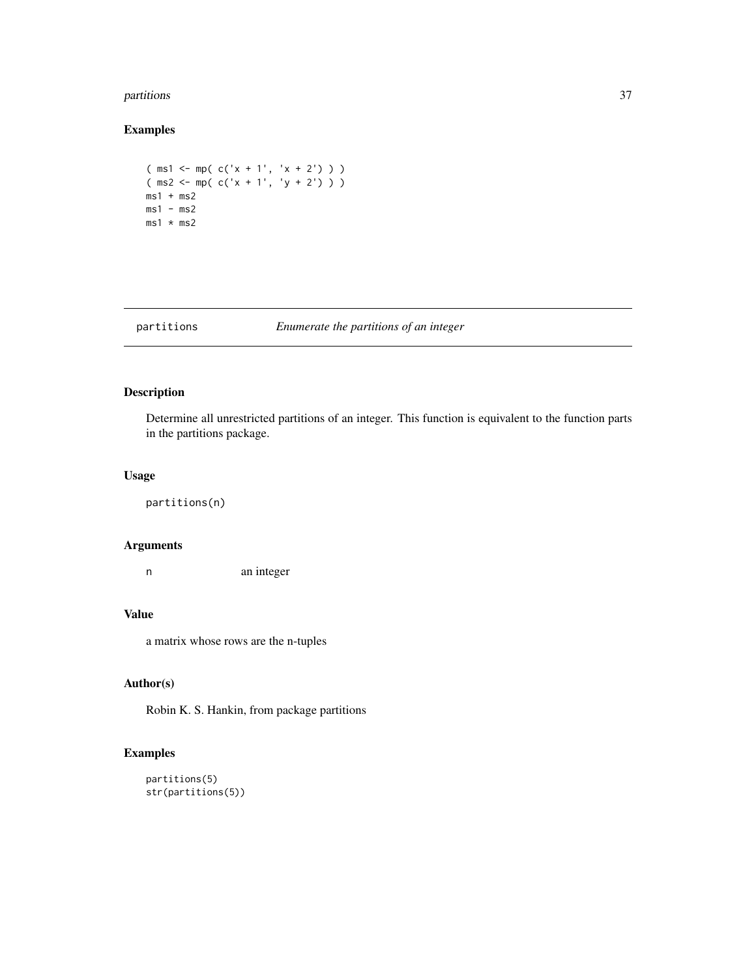#### <span id="page-36-0"></span>partitions 37

# Examples

```
(ms1 \leq mp(c('x + 1', 'x + 2')))( ms2 <- mp( c('x + 1', 'y + 2') ) )
ms1 + ms2ms1 - ms2ms1 * ms2
```
# partitions *Enumerate the partitions of an integer*

# Description

Determine all unrestricted partitions of an integer. This function is equivalent to the function parts in the partitions package.

## Usage

partitions(n)

## Arguments

n an integer

#### Value

a matrix whose rows are the n-tuples

## Author(s)

Robin K. S. Hankin, from package partitions

```
partitions(5)
str(partitions(5))
```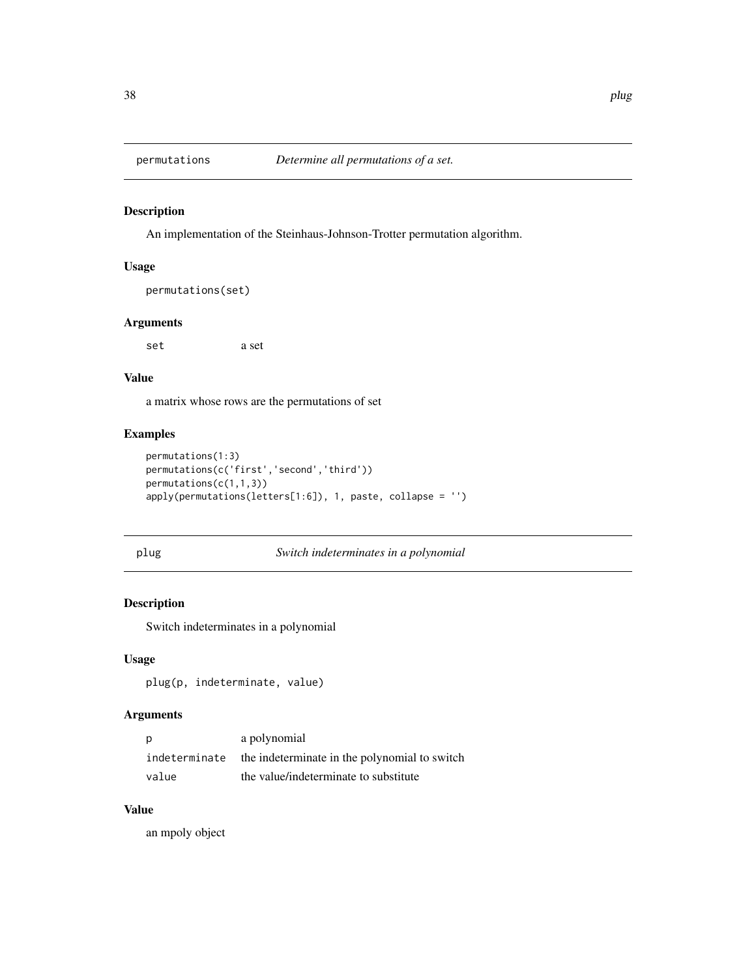<span id="page-37-0"></span>

# Description

An implementation of the Steinhaus-Johnson-Trotter permutation algorithm.

## Usage

```
permutations(set)
```
# Arguments

set a set

# Value

a matrix whose rows are the permutations of set

# Examples

```
permutations(1:3)
permutations(c('first','second','third'))
permutations(c(1,1,3))
apply(permutations(letters[1:6]), 1, paste, collapse = '')
```
## <span id="page-37-1"></span>plug *Switch indeterminates in a polynomial*

# Description

Switch indeterminates in a polynomial

## Usage

plug(p, indeterminate, value)

# Arguments

| p             | a polynomial                                  |
|---------------|-----------------------------------------------|
| indeterminate | the indeterminate in the polynomial to switch |
| value         | the value/indeterminate to substitute         |

# Value

an mpoly object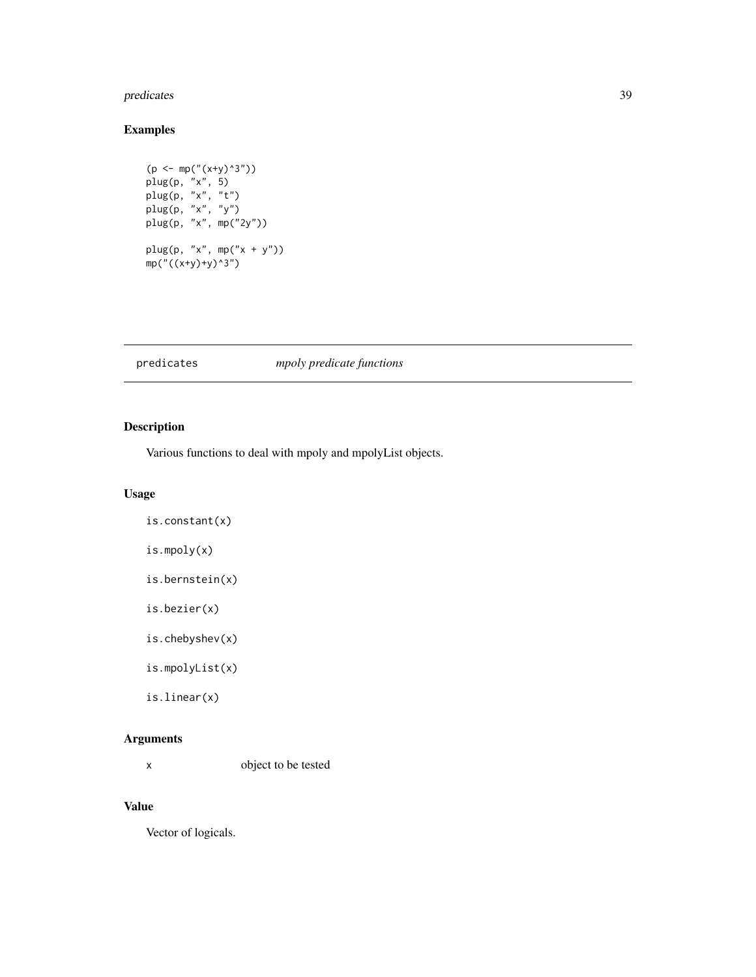#### <span id="page-38-0"></span>predicates 39

# Examples

```
(p <- mp("(x+y)^3"))
plug(p, "x", 5)
plug(p, "x", "t")
plug(p, "x", "y")
plug(p, "x", mp("2y"))
plug(p, "x", mp("x + y"))
mp("((x+y)+y)^3")
```
# predicates *mpoly predicate functions*

# Description

Various functions to deal with mpoly and mpolyList objects.

# Usage

```
is.constant(x)
```
is.mpoly(x)

is.bernstein(x)

is.bezier(x)

is.chebyshev(x)

is.mpolyList(x)

is.linear(x)

# Arguments

x object to be tested

# Value

Vector of logicals.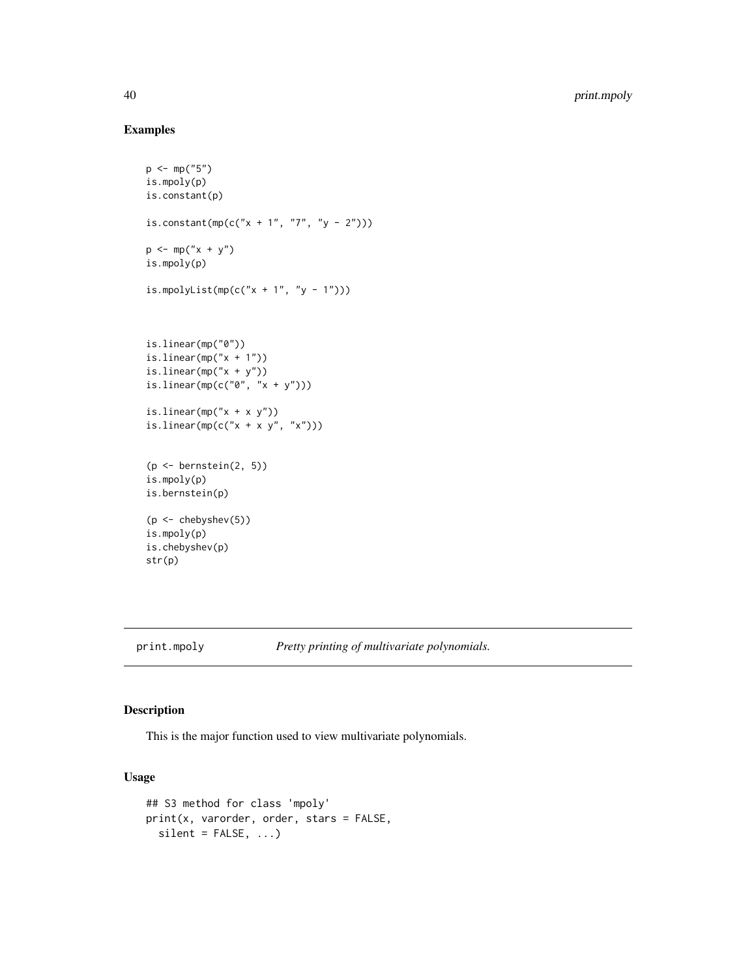# Examples

```
p \leq -mp("5")is.mpoly(p)
is.constant(p)
is.constant(mp(c("x + 1", "7", "y - 2")))
p \le m(p''x + y'')is.mpoly(p)
is.mpolyList(mp(c("x + 1", "y - 1")))
is.linear(mp("0"))
is.linear(mp("x + 1"))
is.linear(mp("x + y"))
is.linear(mp(c("0", "x + y")))
is.linear(mp("x + x y"))
is.linear(mp(c("x + x y", "x")))
(p \le -\text{benstein}(2, 5))is.mpoly(p)
is.bernstein(p)
(p <- chebyshev(5))
is.mpoly(p)
is.chebyshev(p)
str(p)
```
<span id="page-39-1"></span>print.mpoly *Pretty printing of multivariate polynomials.*

# Description

This is the major function used to view multivariate polynomials.

```
## S3 method for class 'mpoly'
print(x, varorder, order, stars = FALSE,
 silent = FALSE, ...)
```
<span id="page-39-0"></span>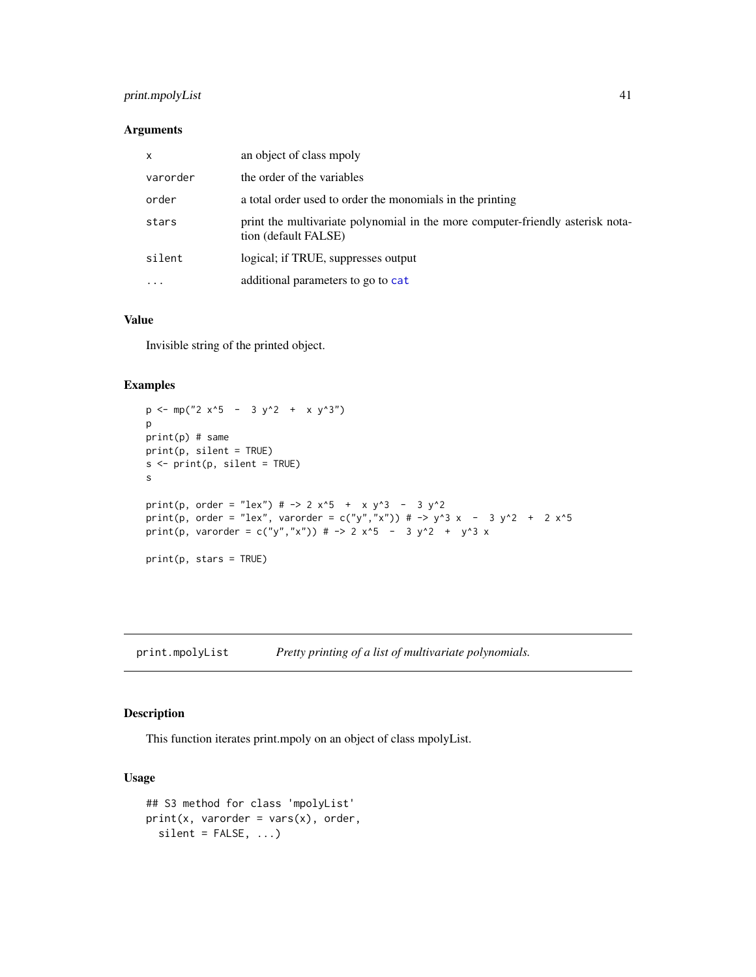# <span id="page-40-0"></span>print.mpolyList 41

# Arguments

| $\mathsf{x}$ | an object of class mpoly                                                                               |
|--------------|--------------------------------------------------------------------------------------------------------|
| varorder     | the order of the variables                                                                             |
| order        | a total order used to order the monomials in the printing                                              |
| stars        | print the multivariate polynomial in the more computer-friendly asterisk nota-<br>tion (default FALSE) |
| silent       | logical; if TRUE, suppresses output                                                                    |
| $\cdots$     | additional parameters to go to cat                                                                     |

# Value

Invisible string of the printed object.

# Examples

```
p \le m p("2 x^5 - 3 y^2 + x y^3")p
print(p) # same
print(p, silent = TRUE)
s <- print(p, silent = TRUE)
s
print(p, order = "lex") # \rightarrow 2 x^5 + x y^3 - 3 y^2
print(p, order = "lex", varorder = c("y","x")) # -> y^3 x - 3 y^2 + 2 x^5
print(p, varorder = c("y","x")) # -> 2 x^5 - 3 y^2 + y^3 x
print(p, stars = TRUE)
```
print.mpolyList *Pretty printing of a list of multivariate polynomials.*

# Description

This function iterates print.mpoly on an object of class mpolyList.

```
## S3 method for class 'mpolyList'
print(x, varorder = vars(x), order,silent = FALSE, ...)
```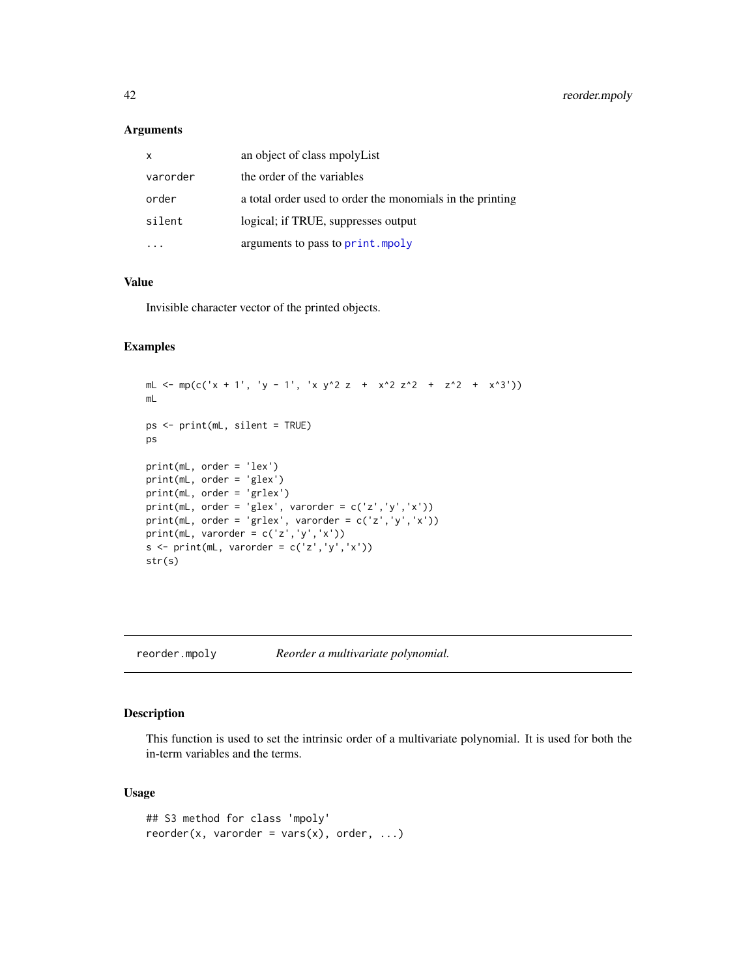# <span id="page-41-0"></span>Arguments

| x        | an object of class mpolyList                              |
|----------|-----------------------------------------------------------|
| varorder | the order of the variables                                |
| order    | a total order used to order the monomials in the printing |
| silent   | logical; if TRUE, suppresses output                       |
|          | arguments to pass to print. mpoly                         |

## Value

Invisible character vector of the printed objects.

# Examples

```
mL <- mp(c('x + 1', 'y - 1', 'x y^2 z + x^2 z^2 + z^2 + x^3'))
mL
ps <- print(mL, silent = TRUE)
ps
print(mL, order = 'lex')
print(mL, order = 'glex')
print(mL, order = 'grlex')
print(mL, order = 'glex', varorder = c('z', 'y', 'x'))print(mL, order = 'grlex', varorder = c('z', 'y', 'x'))print(mL, varorder = c('z','y','x'))
s \le print(mL, varorder = c('z','y','x'))
str(s)
```
reorder.mpoly *Reorder a multivariate polynomial.*

# Description

This function is used to set the intrinsic order of a multivariate polynomial. It is used for both the in-term variables and the terms.

```
## S3 method for class 'mpoly'
reorder(x, varorder = vars(x), order, ...)
```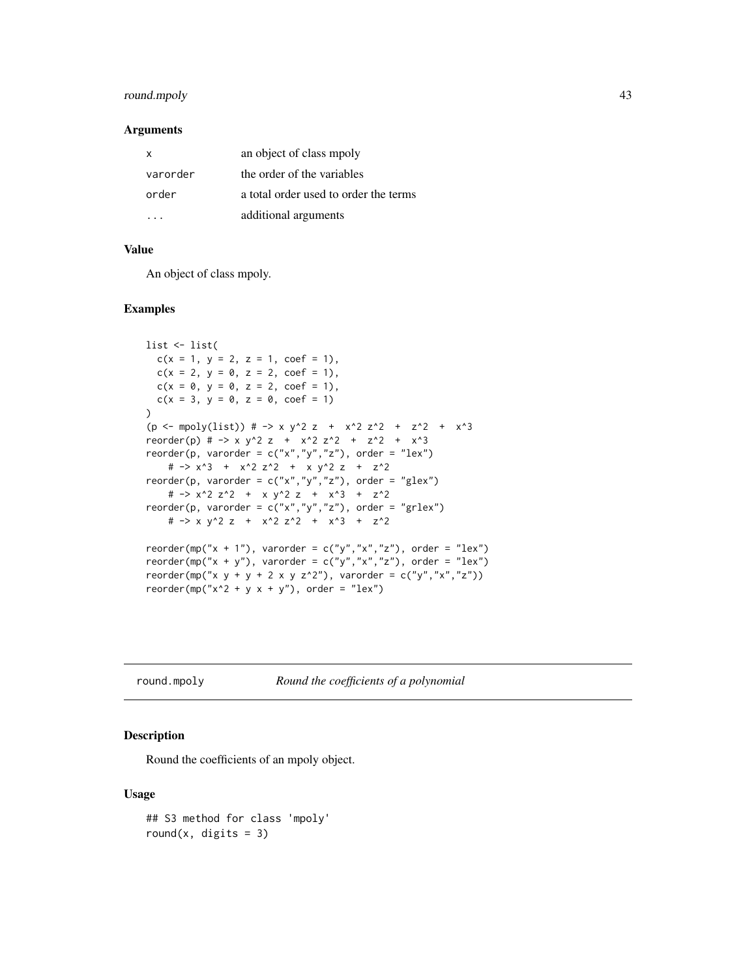# <span id="page-42-0"></span>round.mpoly 43

## **Arguments**

| x        | an object of class mpoly              |
|----------|---------------------------------------|
| varorder | the order of the variables            |
| order    | a total order used to order the terms |
|          | additional arguments                  |

## Value

An object of class mpoly.

## Examples

```
list <- list(
  c(x = 1, y = 2, z = 1, coef = 1),c(x = 2, y = 0, z = 2, coef = 1),c(x = 0, y = 0, z = 2, coef = 1),c(x = 3, y = 0, z = 0, coef = 1)\mathcal{L}(p \leftarrow \text{mpoly}(list)) # -> x y^2 z + x^2 z^2 + z^2 + x^3
reorder(p) # -> x y^2 z + x^2 z^2 + z^2 + x^3
reorder(p, varorder = c("x", "y", "z"), order = "lex")
    # -> x^3 + x^2 z^2 + x y^2 z + z^2
reorder(p, varorder = c("x", "y", "z"), order = "glex")
   # -> x^2 z^2 + x y^2 z + x^3 + z^2
reorder(p, varorder = c("x", "y", "z"), order = "grlex")# -> x y^2 z + x^2 z^2 + x^3 + z^2
reorder(mp("x + 1"), varorder = c("y", "x", "z"), order = "lex")
reorder(mp("x + y"), varorder = c("y","x","z"), order = "lex")
reorder(mp("x y + y + 2 x y z^2"), varorder = c("y","x","z"))
reorder(mp("x^2 + y x + y"), order = "lex")
```
round.mpoly *Round the coefficients of a polynomial*

## Description

Round the coefficients of an mpoly object.

```
## S3 method for class 'mpoly'
round(x, digits = 3)
```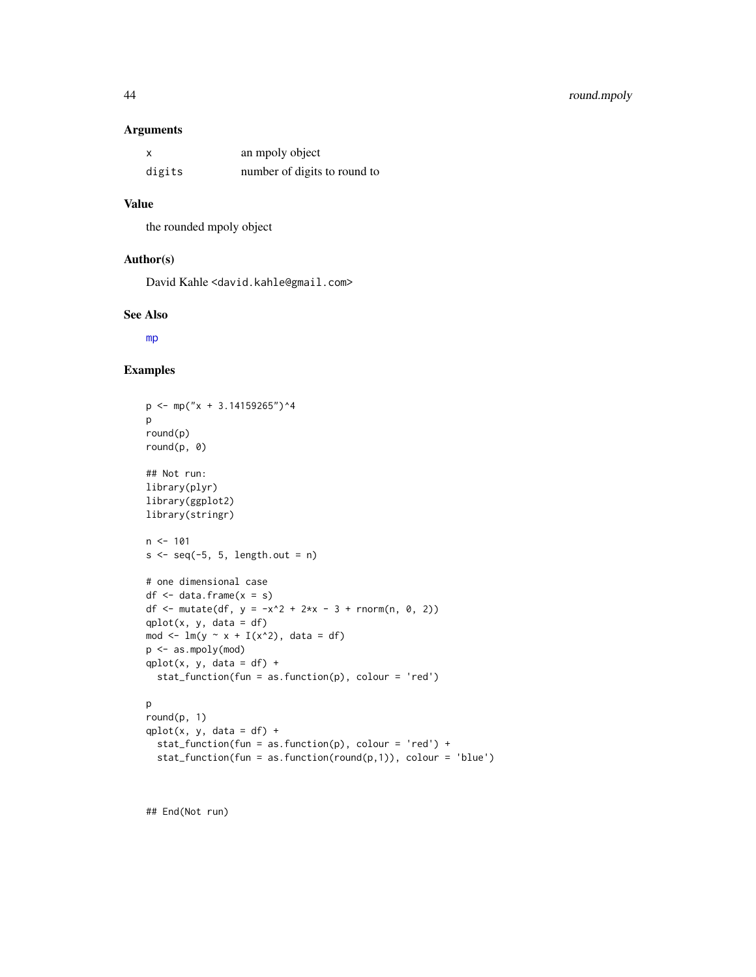# <span id="page-43-0"></span>44 round.mpoly

## Arguments

| X      | an mpoly object              |
|--------|------------------------------|
| digits | number of digits to round to |

# Value

the rounded mpoly object

## Author(s)

David Kahle<br/><br/>d.kahle@gmail.com>

## See Also

[mp](#page-30-1)

# Examples

```
p \leftarrow mp("x + 3.14159265")^4p
round(p)
round(p, 0)
## Not run:
library(plyr)
library(ggplot2)
library(stringr)
n < -101s \leq seq(-5, 5, length.out = n)# one dimensional case
df \leftarrow data-frame(x = s)df <- mutate(df, y = -x^2 + 2*x - 3 + \text{norm}(n, 0, 2))
qplot(x, y, data = df)mod \leq lm(y \sim x + I(x^2), data = df)
p <- as.mpoly(mod)
qplot(x, y, data = df) +stat_function(fun = as.function(p), colour = 'red')
p
round(p, 1)
qplot(x, y, data = df) +stat_function(fun = as.function(p), colour = 'red') +
  stat_function(fun = as.function(round(p,1)), colour = 'blue')
```
## End(Not run)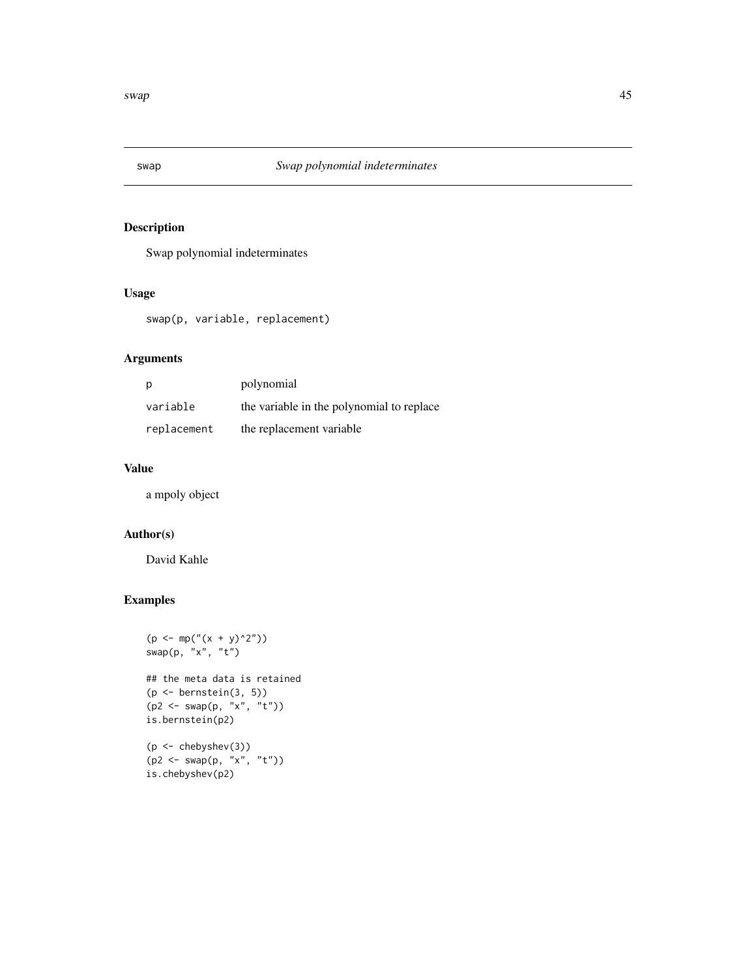<span id="page-44-0"></span>

# Description

Swap polynomial indeterminates

# Usage

swap(p, variable, replacement)

# Arguments

| p           | polynomial                                |
|-------------|-------------------------------------------|
| variable    | the variable in the polynomial to replace |
| replacement | the replacement variable                  |

# Value

a mpoly object

# Author(s)

David Kahle

```
(p \le m p(" (x + y)^2")swap(p, "x", "t")
## the meta data is retained
(p \leftarrow bernstein(3, 5)(p2 \le - \text{swap}(p, "x", "t"))is.bernstein(p2)
(p <- chebyshev(3))
(p2 <- swap(p, "x", "t"))
```
is.chebyshev(p2)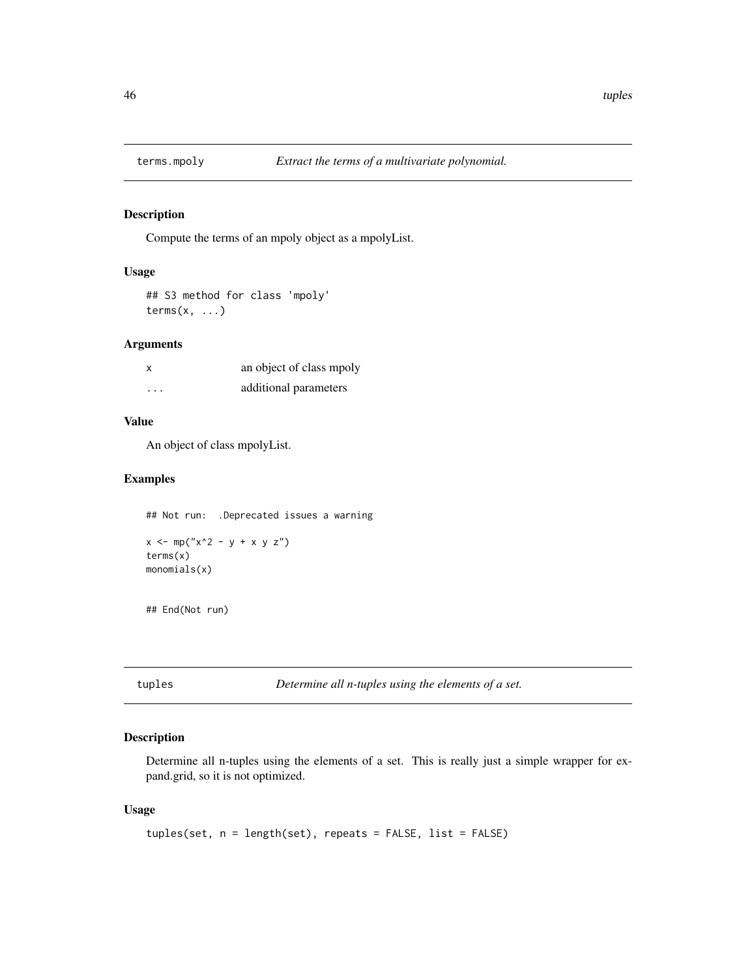<span id="page-45-0"></span>

## Description

Compute the terms of an mpoly object as a mpolyList.

# Usage

## S3 method for class 'mpoly'  $terms(x, \ldots)$ 

## Arguments

| x        | an object of class mpoly |
|----------|--------------------------|
| $\cdots$ | additional parameters    |

# Value

An object of class mpolyList.

## Examples

## Not run: .Deprecated issues a warning

```
x \le m p("x^2 - y + x y z")terms(x)
monomials(x)
```
## End(Not run)

tuples *Determine all n-tuples using the elements of a set.*

# Description

Determine all n-tuples using the elements of a set. This is really just a simple wrapper for expand.grid, so it is not optimized.

```
tuples(set, n = length(set), repeats = FALSE, list = FALSE)
```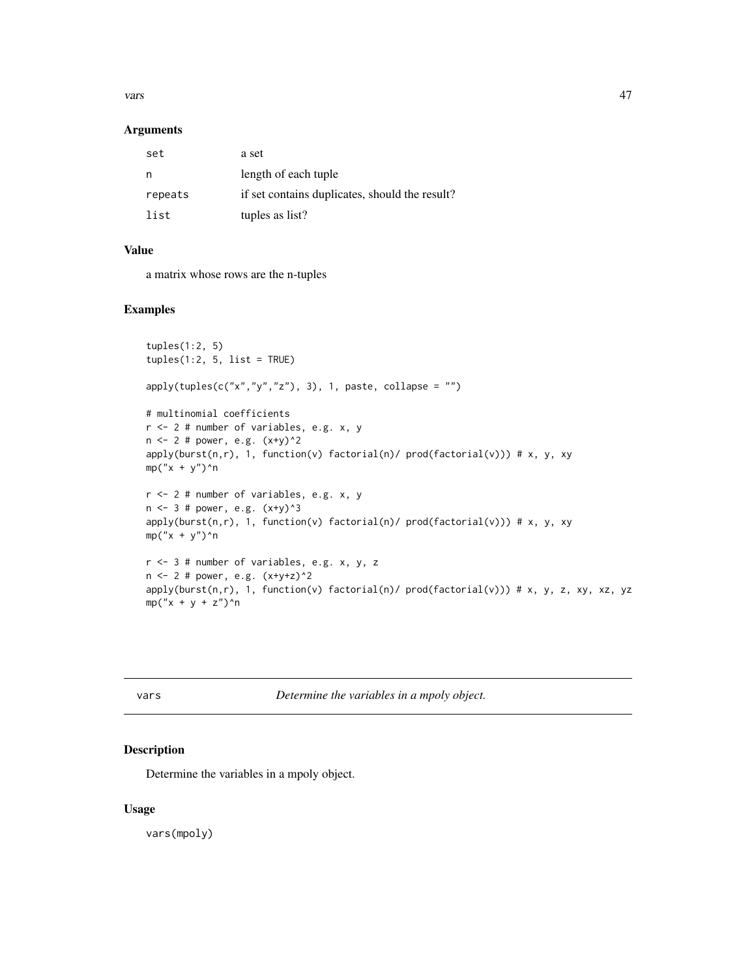#### <span id="page-46-0"></span>vars and the contract of the contract of the contract of the contract of the contract of the contract of the contract of the contract of the contract of the contract of the contract of the contract of the contract of the c

## Arguments

| set     | a set                                          |
|---------|------------------------------------------------|
| n       | length of each tuple                           |
| repeats | if set contains duplicates, should the result? |
| list    | tuples as list?                                |

# Value

a matrix whose rows are the n-tuples

## Examples

```
tuples(1:2, 5)
tuples(1:2, 5, list = TRUE)apply(tuples(c("x", "y", "z"), 3), 1, paste, collapse = "")# multinomial coefficients
r <- 2 # number of variables, e.g. x, y
n <- 2 # power, e.g. (x+y)^2
apply(burst(n,r), 1, function(v) factorial(n)/ prod(factorial(v))) # x, y, xy
mp("x + y")^n
r <- 2 # number of variables, e.g. x, y
n \le -3 # power, e.g. (x+y)^3apply(burst(n,r), 1, function(v) factorial(n)/ prod(factorial(v))) # x, y, xy
mp("x + y")^n
r <- 3 # number of variables, e.g. x, y, z
n \leq 2 # power, e.g. (x+y+z)^2apply(burst(n,r), 1, function(v) factorial(n)/ prod(factorial(v))) # x, y, z, xy, xz, yz
mp("x + y + z")<sup>n</sup>n
```
s *Determine the variables in a mpoly object.* 

## Description

Determine the variables in a mpoly object.

# Usage

vars(mpoly)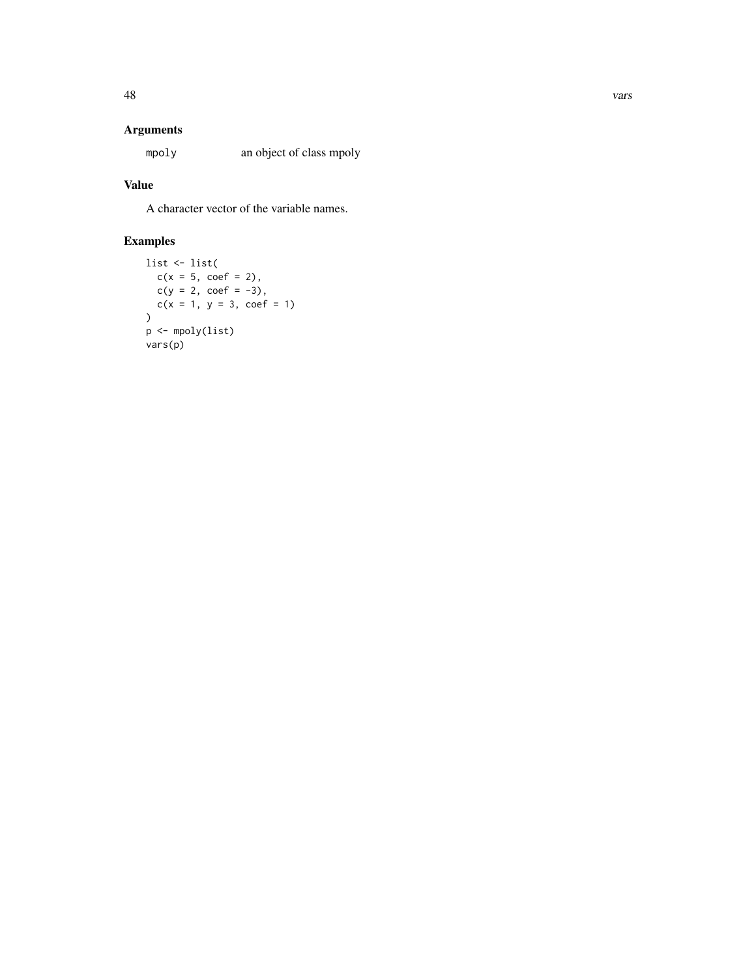# Arguments

mpoly an object of class mpoly

# Value

A character vector of the variable names.

```
list <- list(
  c(x = 5, coef = 2),c(y = 2, coef = -3),c(x = 1, y = 3, coef = 1)\overline{\phantom{a}}p <- mpoly(list)
vars(p)
```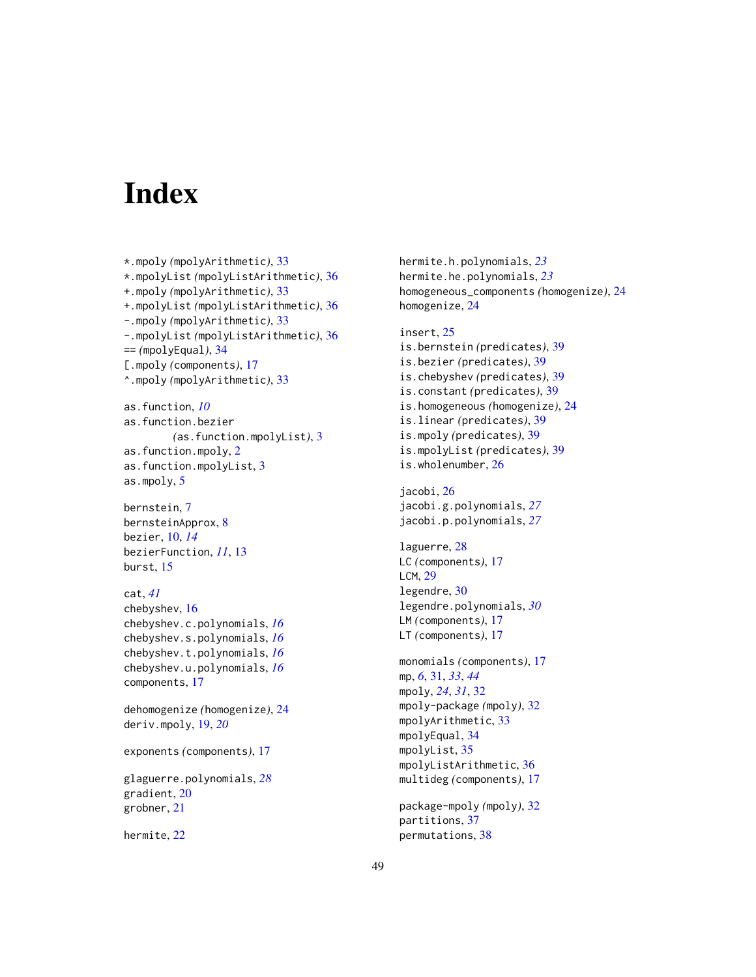# <span id="page-48-0"></span>**Index**

```
*.mpoly (mpolyArithmetic), 33
*.mpolyList (mpolyListArithmetic), 36
+.mpoly (mpolyArithmetic), 33
+.mpolyList (mpolyListArithmetic), 36
-.mpoly (mpolyArithmetic), 33
-.mpolyList (mpolyListArithmetic), 36
== (mpolyEqual), 34
[.mpoly (components), 17
^.mpoly (mpolyArithmetic), 33
```

```
as.function, 10
as.function.bezier
        (as.function.mpolyList), 3
as.function.mpoly, 2
as.function.mpolyList, 3
as.mpoly, 5
```
bernstein, [7](#page-6-0) bernsteinApprox, [8](#page-7-0) bezier, [10,](#page-9-0) *[14](#page-13-0)* bezierFunction, *[11](#page-10-0)*, [13](#page-12-0) burst, [15](#page-14-0)

# cat, *[41](#page-40-0)*

chebyshev, [16](#page-15-0) chebyshev.c.polynomials, *[16](#page-15-0)* chebyshev.s.polynomials, *[16](#page-15-0)* chebyshev.t.polynomials, *[16](#page-15-0)* chebyshev.u.polynomials, *[16](#page-15-0)* components, [17](#page-16-0)

dehomogenize *(*homogenize*)*, [24](#page-23-0) deriv.mpoly, [19,](#page-18-0) *[20](#page-19-0)*

exponents *(*components*)*, [17](#page-16-0)

glaguerre.polynomials, *[28](#page-27-0)* gradient, [20](#page-19-0) grobner, [21](#page-20-0)

hermite, [22](#page-21-0)

hermite.h.polynomials, *[23](#page-22-0)* hermite.he.polynomials, *[23](#page-22-0)* homogeneous\_components *(*homogenize*)*, [24](#page-23-0) homogenize, [24](#page-23-0)

## insert, [25](#page-24-0)

is.bernstein *(*predicates*)*, [39](#page-38-0) is.bezier *(*predicates*)*, [39](#page-38-0) is.chebyshev *(*predicates*)*, [39](#page-38-0) is.constant *(*predicates*)*, [39](#page-38-0) is.homogeneous *(*homogenize*)*, [24](#page-23-0) is.linear *(*predicates*)*, [39](#page-38-0) is.mpoly *(*predicates*)*, [39](#page-38-0) is.mpolyList *(*predicates*)*, [39](#page-38-0) is.wholenumber, [26](#page-25-0)

jacobi, [26](#page-25-0) jacobi.g.polynomials, *[27](#page-26-0)* jacobi.p.polynomials, *[27](#page-26-0)*

laguerre, [28](#page-27-0) LC *(*components*)*, [17](#page-16-0) LCM, [29](#page-28-0) legendre, [30](#page-29-0) legendre.polynomials, *[30](#page-29-0)* LM *(*components*)*, [17](#page-16-0) LT *(*components*)*, [17](#page-16-0)

```
monomials (components), 17
mp, 6, 31, 33, 44
mpoly, 24, 31, 32
mpoly-package (mpoly), 32
mpolyArithmetic, 33
mpolyEqual, 34
mpolyList, 35
mpolyListArithmetic, 36
multideg (components), 17
```
package-mpoly *(*mpoly*)*, [32](#page-31-0) partitions, [37](#page-36-0) permutations, [38](#page-37-0)